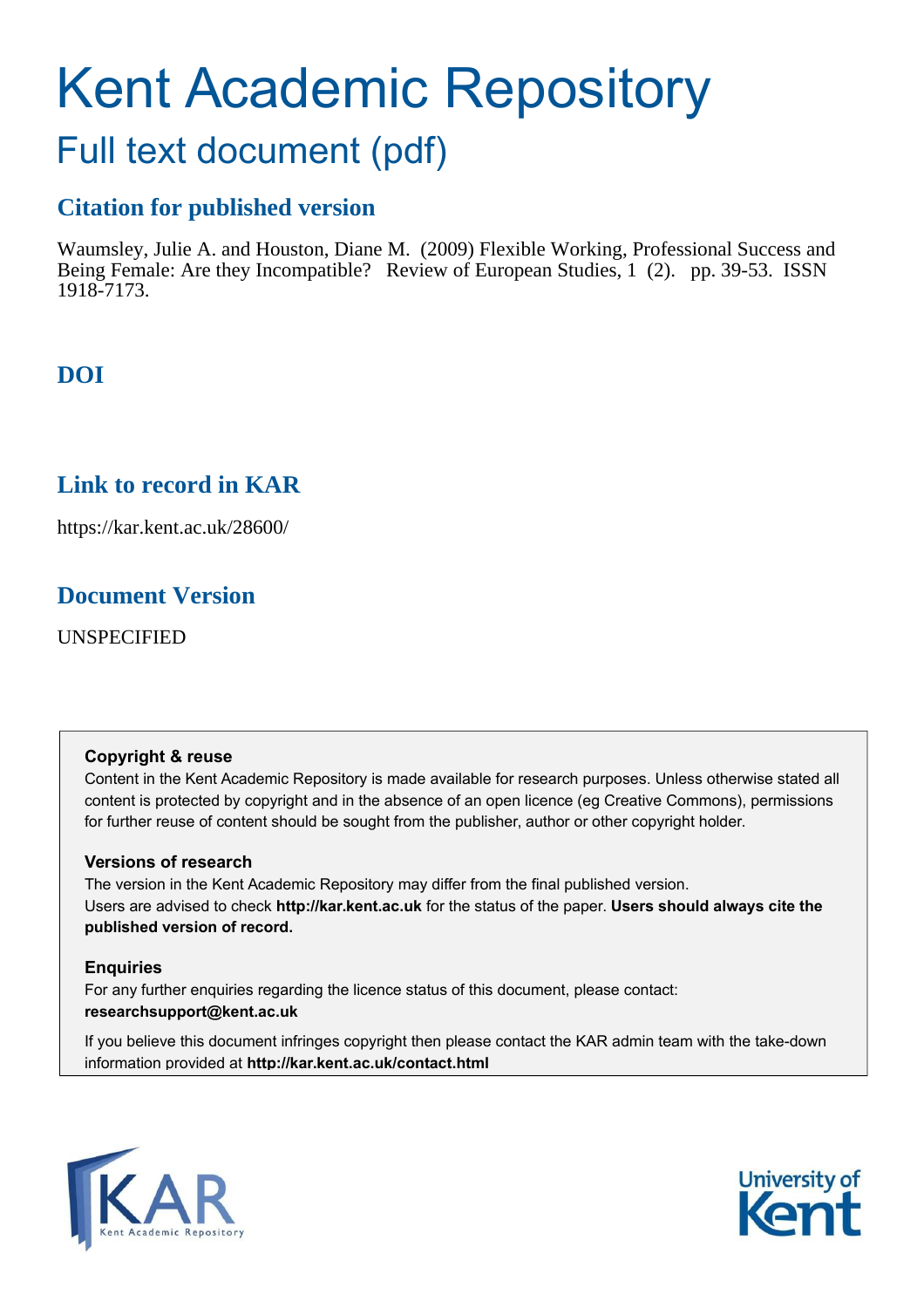# Kent Academic Repository

# Full text document (pdf)

## **Citation for published version**

Waumsley, Julie A. and Houston, Diane M. (2009) Flexible Working, Professional Success and Being Female: Are they Incompatible? Review of European Studies, 1 (2). pp. 39-53. ISSN 1918-7173.

## **DOI**

## **Link to record in KAR**

https://kar.kent.ac.uk/28600/

## **Document Version**

UNSPECIFIED

#### **Copyright & reuse**

Content in the Kent Academic Repository is made available for research purposes. Unless otherwise stated all content is protected by copyright and in the absence of an open licence (eg Creative Commons), permissions for further reuse of content should be sought from the publisher, author or other copyright holder.

#### **Versions of research**

The version in the Kent Academic Repository may differ from the final published version. Users are advised to check **http://kar.kent.ac.uk** for the status of the paper. **Users should always cite the published version of record.**

#### **Enquiries**

For any further enquiries regarding the licence status of this document, please contact: **researchsupport@kent.ac.uk**

If you believe this document infringes copyright then please contact the KAR admin team with the take-down information provided at **http://kar.kent.ac.uk/contact.html**



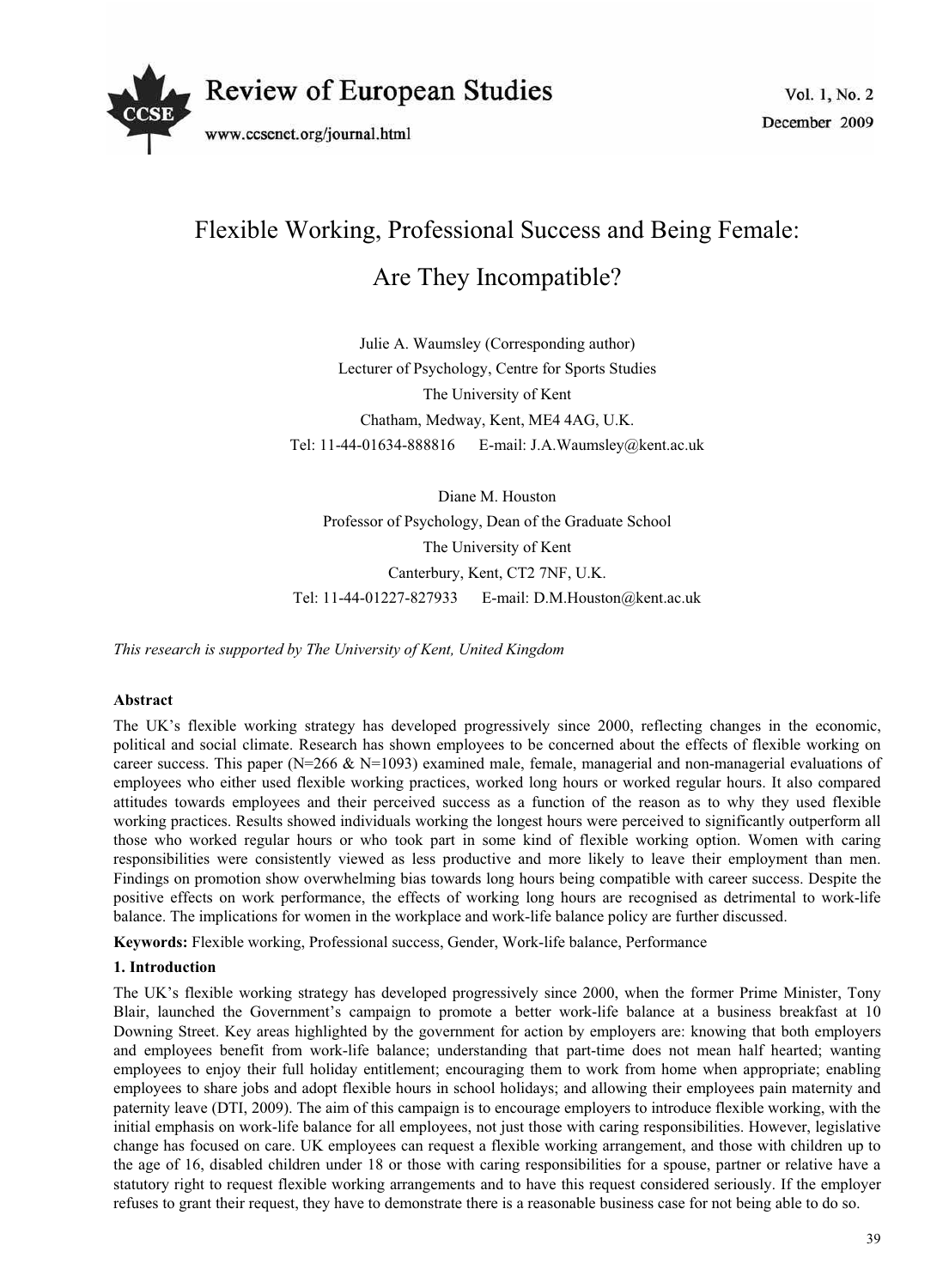

## Flexible Working, Professional Success and Being Female: Are They Incompatible?

Julie A. Waumsley (Corresponding author) Lecturer of Psychology, Centre for Sports Studies The University of Kent Chatham, Medway, Kent, ME4 4AG, U.K. Tel: 11-44-01634-888816 E-mail: J.A.Waumsley@kent.ac.uk

Diane M. Houston Professor of Psychology, Dean of the Graduate School The University of Kent Canterbury, Kent, CT2 7NF, U.K. Tel: 11-44-01227-827933 E-mail: D.M.Houston@kent.ac.uk

*This research is supported by The University of Kent, United Kingdom* 

#### **Abstract**

The UK's flexible working strategy has developed progressively since 2000, reflecting changes in the economic, political and social climate. Research has shown employees to be concerned about the effects of flexible working on career success. This paper (N=266 & N=1093) examined male, female, managerial and non-managerial evaluations of employees who either used flexible working practices, worked long hours or worked regular hours. It also compared attitudes towards employees and their perceived success as a function of the reason as to why they used flexible working practices. Results showed individuals working the longest hours were perceived to significantly outperform all those who worked regular hours or who took part in some kind of flexible working option. Women with caring responsibilities were consistently viewed as less productive and more likely to leave their employment than men. Findings on promotion show overwhelming bias towards long hours being compatible with career success. Despite the positive effects on work performance, the effects of working long hours are recognised as detrimental to work-life balance. The implications for women in the workplace and work-life balance policy are further discussed.

**Keywords:** Flexible working, Professional success, Gender, Work-life balance, Performance

#### **1. Introduction**

The UK's flexible working strategy has developed progressively since 2000, when the former Prime Minister, Tony Blair, launched the Government's campaign to promote a better work-life balance at a business breakfast at 10 Downing Street. Key areas highlighted by the government for action by employers are: knowing that both employers and employees benefit from work-life balance; understanding that part-time does not mean half hearted; wanting employees to enjoy their full holiday entitlement; encouraging them to work from home when appropriate; enabling employees to share jobs and adopt flexible hours in school holidays; and allowing their employees pain maternity and paternity leave (DTI, 2009). The aim of this campaign is to encourage employers to introduce flexible working, with the initial emphasis on work-life balance for all employees, not just those with caring responsibilities. However, legislative change has focused on care. UK employees can request a flexible working arrangement, and those with children up to the age of 16, disabled children under 18 or those with caring responsibilities for a spouse, partner or relative have a statutory right to request flexible working arrangements and to have this request considered seriously. If the employer refuses to grant their request, they have to demonstrate there is a reasonable business case for not being able to do so.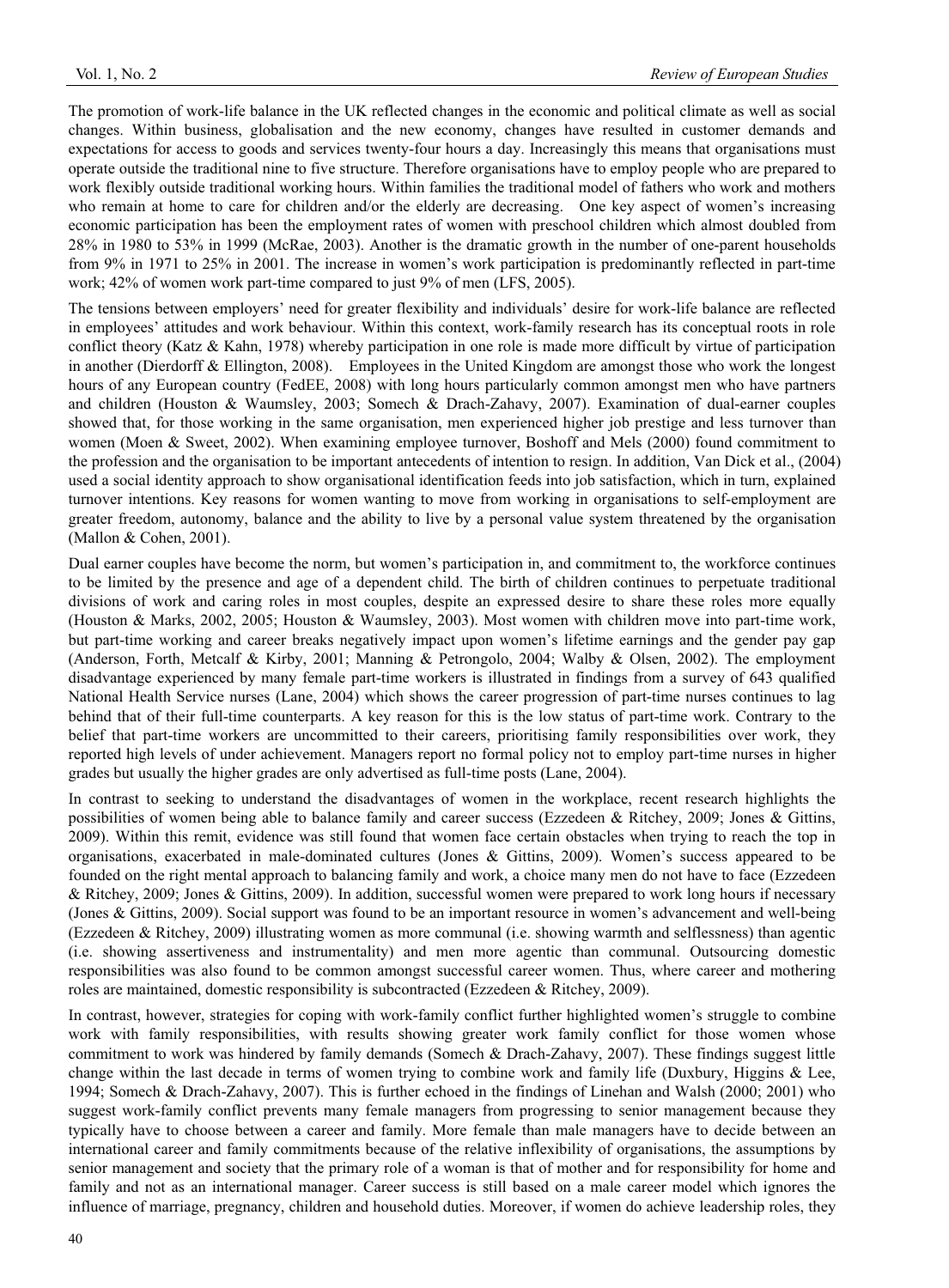The promotion of work-life balance in the UK reflected changes in the economic and political climate as well as social changes. Within business, globalisation and the new economy, changes have resulted in customer demands and expectations for access to goods and services twenty-four hours a day. Increasingly this means that organisations must operate outside the traditional nine to five structure. Therefore organisations have to employ people who are prepared to work flexibly outside traditional working hours. Within families the traditional model of fathers who work and mothers who remain at home to care for children and/or the elderly are decreasing. One key aspect of women's increasing economic participation has been the employment rates of women with preschool children which almost doubled from 28% in 1980 to 53% in 1999 (McRae, 2003). Another is the dramatic growth in the number of one-parent households from 9% in 1971 to 25% in 2001. The increase in women's work participation is predominantly reflected in part-time work; 42% of women work part-time compared to just 9% of men (LFS, 2005).

The tensions between employers' need for greater flexibility and individuals' desire for work-life balance are reflected in employees' attitudes and work behaviour. Within this context, work-family research has its conceptual roots in role conflict theory (Katz & Kahn, 1978) whereby participation in one role is made more difficult by virtue of participation in another (Dierdorff & Ellington, 2008). Employees in the United Kingdom are amongst those who work the longest hours of any European country (FedEE, 2008) with long hours particularly common amongst men who have partners and children (Houston & Waumsley, 2003; Somech & Drach-Zahavy, 2007). Examination of dual-earner couples showed that, for those working in the same organisation, men experienced higher job prestige and less turnover than women (Moen & Sweet, 2002). When examining employee turnover, Boshoff and Mels (2000) found commitment to the profession and the organisation to be important antecedents of intention to resign. In addition, Van Dick et al., (2004) used a social identity approach to show organisational identification feeds into job satisfaction, which in turn, explained turnover intentions. Key reasons for women wanting to move from working in organisations to self-employment are greater freedom, autonomy, balance and the ability to live by a personal value system threatened by the organisation (Mallon & Cohen, 2001).

Dual earner couples have become the norm, but women's participation in, and commitment to, the workforce continues to be limited by the presence and age of a dependent child. The birth of children continues to perpetuate traditional divisions of work and caring roles in most couples, despite an expressed desire to share these roles more equally (Houston & Marks, 2002, 2005; Houston & Waumsley, 2003). Most women with children move into part-time work, but part-time working and career breaks negatively impact upon women's lifetime earnings and the gender pay gap (Anderson, Forth, Metcalf & Kirby, 2001; Manning & Petrongolo, 2004; Walby & Olsen, 2002). The employment disadvantage experienced by many female part-time workers is illustrated in findings from a survey of 643 qualified National Health Service nurses (Lane, 2004) which shows the career progression of part-time nurses continues to lag behind that of their full-time counterparts. A key reason for this is the low status of part-time work. Contrary to the belief that part-time workers are uncommitted to their careers, prioritising family responsibilities over work, they reported high levels of under achievement. Managers report no formal policy not to employ part-time nurses in higher grades but usually the higher grades are only advertised as full-time posts (Lane, 2004).

In contrast to seeking to understand the disadvantages of women in the workplace, recent research highlights the possibilities of women being able to balance family and career success (Ezzedeen & Ritchey, 2009; Jones & Gittins, 2009). Within this remit, evidence was still found that women face certain obstacles when trying to reach the top in organisations, exacerbated in male-dominated cultures (Jones & Gittins, 2009). Women's success appeared to be founded on the right mental approach to balancing family and work, a choice many men do not have to face (Ezzedeen & Ritchey, 2009; Jones & Gittins, 2009). In addition, successful women were prepared to work long hours if necessary (Jones & Gittins, 2009). Social support was found to be an important resource in women's advancement and well-being (Ezzedeen & Ritchey, 2009) illustrating women as more communal (i.e. showing warmth and selflessness) than agentic (i.e. showing assertiveness and instrumentality) and men more agentic than communal. Outsourcing domestic responsibilities was also found to be common amongst successful career women. Thus, where career and mothering roles are maintained, domestic responsibility is subcontracted (Ezzedeen & Ritchey, 2009).

In contrast, however, strategies for coping with work-family conflict further highlighted women's struggle to combine work with family responsibilities, with results showing greater work family conflict for those women whose commitment to work was hindered by family demands (Somech & Drach-Zahavy, 2007). These findings suggest little change within the last decade in terms of women trying to combine work and family life (Duxbury, Higgins & Lee, 1994; Somech & Drach-Zahavy, 2007). This is further echoed in the findings of Linehan and Walsh (2000; 2001) who suggest work-family conflict prevents many female managers from progressing to senior management because they typically have to choose between a career and family. More female than male managers have to decide between an international career and family commitments because of the relative inflexibility of organisations, the assumptions by senior management and society that the primary role of a woman is that of mother and for responsibility for home and family and not as an international manager. Career success is still based on a male career model which ignores the influence of marriage, pregnancy, children and household duties. Moreover, if women do achieve leadership roles, they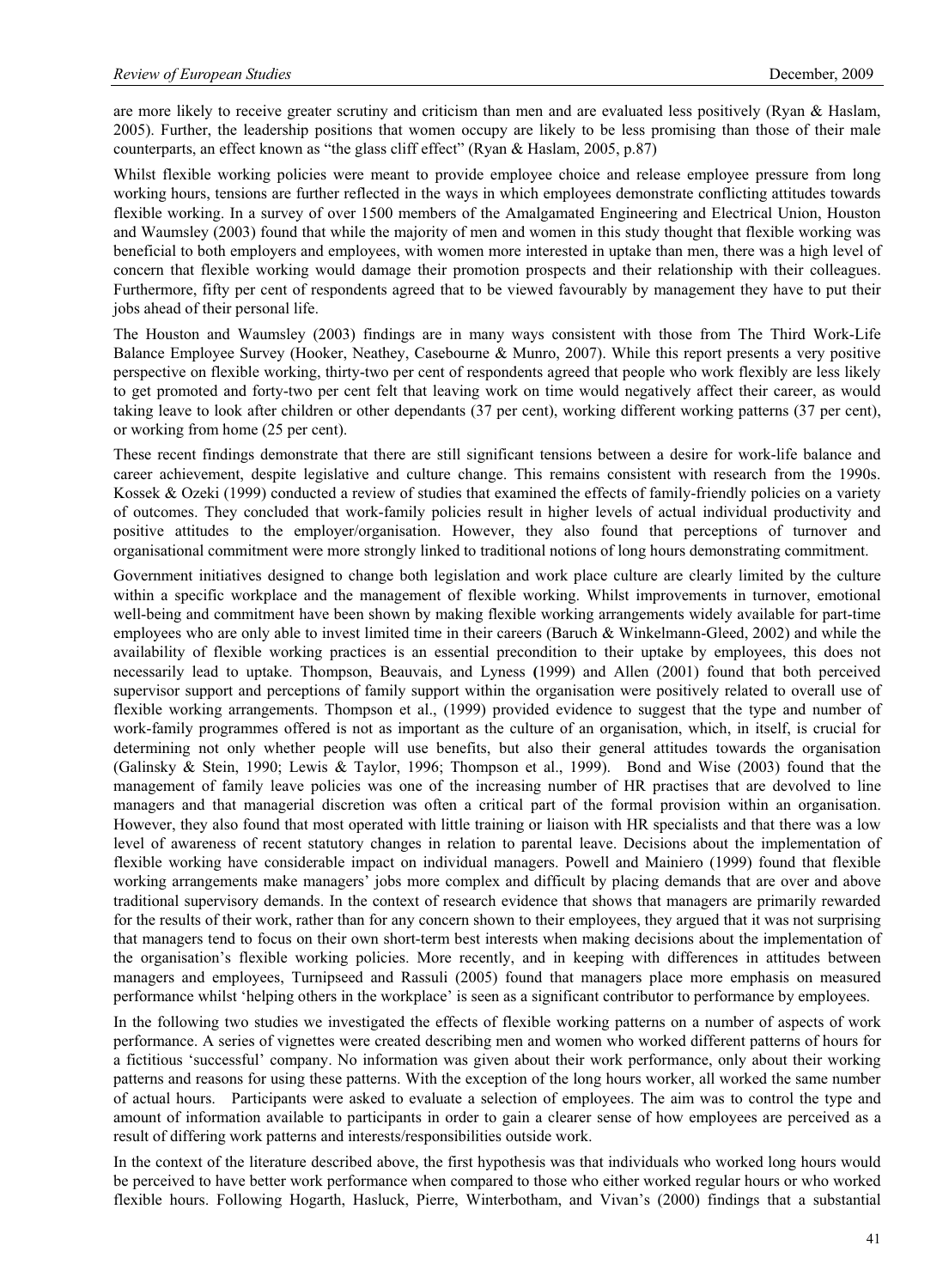are more likely to receive greater scrutiny and criticism than men and are evaluated less positively (Ryan & Haslam, 2005). Further, the leadership positions that women occupy are likely to be less promising than those of their male counterparts, an effect known as "the glass cliff effect" (Ryan & Haslam, 2005, p.87)

Whilst flexible working policies were meant to provide employee choice and release employee pressure from long working hours, tensions are further reflected in the ways in which employees demonstrate conflicting attitudes towards flexible working. In a survey of over 1500 members of the Amalgamated Engineering and Electrical Union, Houston and Waumsley (2003) found that while the majority of men and women in this study thought that flexible working was beneficial to both employers and employees, with women more interested in uptake than men, there was a high level of concern that flexible working would damage their promotion prospects and their relationship with their colleagues. Furthermore, fifty per cent of respondents agreed that to be viewed favourably by management they have to put their jobs ahead of their personal life.

The Houston and Waumsley (2003) findings are in many ways consistent with those from The Third Work-Life Balance Employee Survey (Hooker, Neathey, Casebourne & Munro, 2007). While this report presents a very positive perspective on flexible working, thirty-two per cent of respondents agreed that people who work flexibly are less likely to get promoted and forty-two per cent felt that leaving work on time would negatively affect their career, as would taking leave to look after children or other dependants (37 per cent), working different working patterns (37 per cent), or working from home (25 per cent).

These recent findings demonstrate that there are still significant tensions between a desire for work-life balance and career achievement, despite legislative and culture change. This remains consistent with research from the 1990s. Kossek & Ozeki (1999) conducted a review of studies that examined the effects of family-friendly policies on a variety of outcomes. They concluded that work-family policies result in higher levels of actual individual productivity and positive attitudes to the employer/organisation. However, they also found that perceptions of turnover and organisational commitment were more strongly linked to traditional notions of long hours demonstrating commitment.

Government initiatives designed to change both legislation and work place culture are clearly limited by the culture within a specific workplace and the management of flexible working. Whilst improvements in turnover, emotional well-being and commitment have been shown by making flexible working arrangements widely available for part-time employees who are only able to invest limited time in their careers (Baruch & Winkelmann-Gleed, 2002) and while the availability of flexible working practices is an essential precondition to their uptake by employees, this does not necessarily lead to uptake. Thompson, Beauvais, and Lyness **(**1999) and Allen (2001) found that both perceived supervisor support and perceptions of family support within the organisation were positively related to overall use of flexible working arrangements. Thompson et al., (1999) provided evidence to suggest that the type and number of work-family programmes offered is not as important as the culture of an organisation, which, in itself, is crucial for determining not only whether people will use benefits, but also their general attitudes towards the organisation (Galinsky & Stein, 1990; Lewis & Taylor, 1996; Thompson et al., 1999). Bond and Wise (2003) found that the management of family leave policies was one of the increasing number of HR practises that are devolved to line managers and that managerial discretion was often a critical part of the formal provision within an organisation. However, they also found that most operated with little training or liaison with HR specialists and that there was a low level of awareness of recent statutory changes in relation to parental leave. Decisions about the implementation of flexible working have considerable impact on individual managers. Powell and Mainiero (1999) found that flexible working arrangements make managers' jobs more complex and difficult by placing demands that are over and above traditional supervisory demands. In the context of research evidence that shows that managers are primarily rewarded for the results of their work, rather than for any concern shown to their employees, they argued that it was not surprising that managers tend to focus on their own short-term best interests when making decisions about the implementation of the organisation's flexible working policies. More recently, and in keeping with differences in attitudes between managers and employees, Turnipseed and Rassuli (2005) found that managers place more emphasis on measured performance whilst 'helping others in the workplace' is seen as a significant contributor to performance by employees.

In the following two studies we investigated the effects of flexible working patterns on a number of aspects of work performance. A series of vignettes were created describing men and women who worked different patterns of hours for a fictitious 'successful' company. No information was given about their work performance, only about their working patterns and reasons for using these patterns. With the exception of the long hours worker, all worked the same number of actual hours. Participants were asked to evaluate a selection of employees. The aim was to control the type and amount of information available to participants in order to gain a clearer sense of how employees are perceived as a result of differing work patterns and interests/responsibilities outside work.

In the context of the literature described above, the first hypothesis was that individuals who worked long hours would be perceived to have better work performance when compared to those who either worked regular hours or who worked flexible hours. Following Hogarth, Hasluck, Pierre, Winterbotham, and Vivan's (2000) findings that a substantial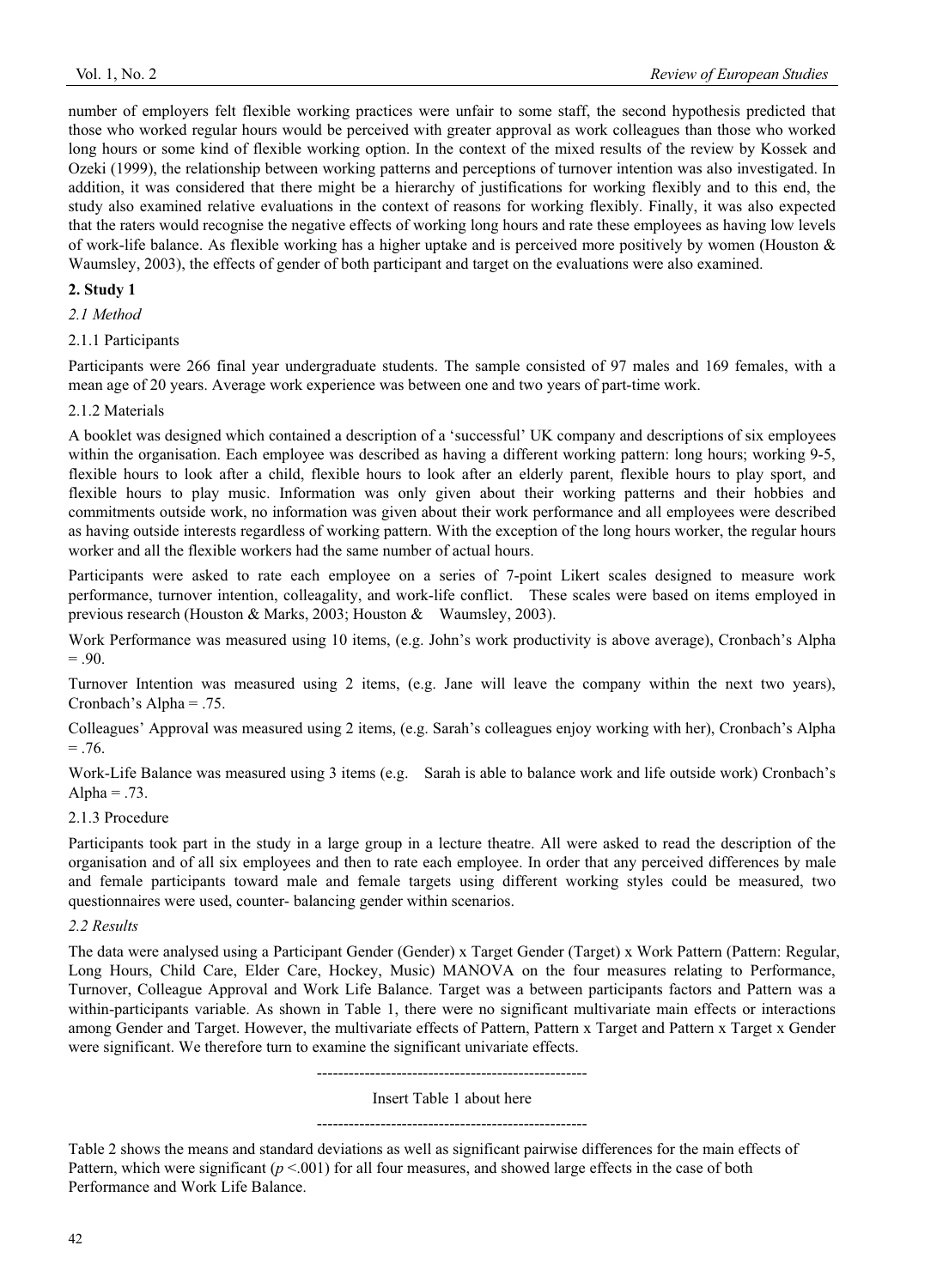number of employers felt flexible working practices were unfair to some staff, the second hypothesis predicted that those who worked regular hours would be perceived with greater approval as work colleagues than those who worked long hours or some kind of flexible working option. In the context of the mixed results of the review by Kossek and Ozeki (1999), the relationship between working patterns and perceptions of turnover intention was also investigated. In addition, it was considered that there might be a hierarchy of justifications for working flexibly and to this end, the study also examined relative evaluations in the context of reasons for working flexibly. Finally, it was also expected that the raters would recognise the negative effects of working long hours and rate these employees as having low levels of work-life balance. As flexible working has a higher uptake and is perceived more positively by women (Houston  $\&$ Waumsley, 2003), the effects of gender of both participant and target on the evaluations were also examined.

#### **2. Study 1**

*2.1 Method* 

2.1.1 Participants

Participants were 266 final year undergraduate students. The sample consisted of 97 males and 169 females, with a mean age of 20 years. Average work experience was between one and two years of part-time work.

#### 2.1.2 Materials

A booklet was designed which contained a description of a 'successful' UK company and descriptions of six employees within the organisation. Each employee was described as having a different working pattern: long hours; working 9-5, flexible hours to look after a child, flexible hours to look after an elderly parent, flexible hours to play sport, and flexible hours to play music. Information was only given about their working patterns and their hobbies and commitments outside work, no information was given about their work performance and all employees were described as having outside interests regardless of working pattern. With the exception of the long hours worker, the regular hours worker and all the flexible workers had the same number of actual hours.

Participants were asked to rate each employee on a series of 7-point Likert scales designed to measure work performance, turnover intention, colleagality, and work-life conflict. These scales were based on items employed in previous research (Houston & Marks, 2003; Houston & Waumsley, 2003).

Work Performance was measured using 10 items, (e.g. John's work productivity is above average), Cronbach's Alpha  $= .90.$ 

Turnover Intention was measured using 2 items, (e.g. Jane will leave the company within the next two years), Cronbach's Alpha = .75.

Colleagues' Approval was measured using 2 items, (e.g. Sarah's colleagues enjoy working with her), Cronbach's Alpha  $= .76.$ 

Work-Life Balance was measured using 3 items (e.g. Sarah is able to balance work and life outside work) Cronbach's Alpha =  $.73$ .

#### 2.1.3 Procedure

Participants took part in the study in a large group in a lecture theatre. All were asked to read the description of the organisation and of all six employees and then to rate each employee. In order that any perceived differences by male and female participants toward male and female targets using different working styles could be measured, two questionnaires were used, counter- balancing gender within scenarios.

#### *2.2 Results*

The data were analysed using a Participant Gender (Gender) x Target Gender (Target) x Work Pattern (Pattern: Regular, Long Hours, Child Care, Elder Care, Hockey, Music) MANOVA on the four measures relating to Performance, Turnover, Colleague Approval and Work Life Balance. Target was a between participants factors and Pattern was a within-participants variable. As shown in Table 1, there were no significant multivariate main effects or interactions among Gender and Target. However, the multivariate effects of Pattern, Pattern x Target and Pattern x Target x Gender were significant. We therefore turn to examine the significant univariate effects.

---------------------------------------------------

#### Insert Table 1 about here

#### ---------------------------------------------------

Table 2 shows the means and standard deviations as well as significant pairwise differences for the main effects of Pattern, which were significant ( $p < 001$ ) for all four measures, and showed large effects in the case of both Performance and Work Life Balance.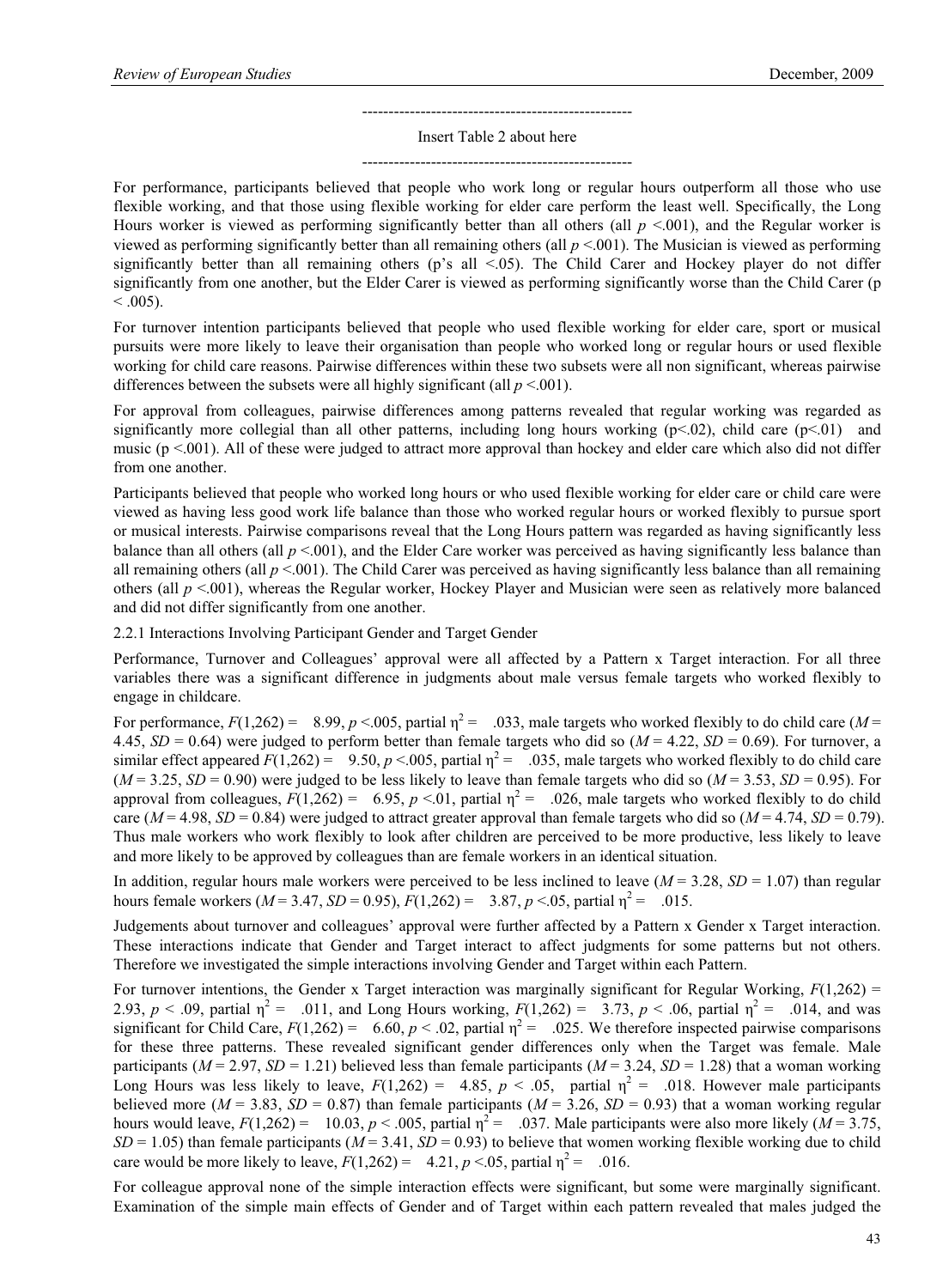---------------------------------------------------

#### Insert Table 2 about here

#### $-$

For performance, participants believed that people who work long or regular hours outperform all those who use flexible working, and that those using flexible working for elder care perform the least well. Specifically, the Long Hours worker is viewed as performing significantly better than all others (all *p* <.001), and the Regular worker is viewed as performing significantly better than all remaining others (all *p* <.001). The Musician is viewed as performing significantly better than all remaining others (p's all <.05). The Child Carer and Hockey player do not differ significantly from one another, but the Elder Carer is viewed as performing significantly worse than the Child Carer (p  $< 0.005$ ).

For turnover intention participants believed that people who used flexible working for elder care, sport or musical pursuits were more likely to leave their organisation than people who worked long or regular hours or used flexible working for child care reasons. Pairwise differences within these two subsets were all non significant, whereas pairwise differences between the subsets were all highly significant (all  $p < .001$ ).

For approval from colleagues, pairwise differences among patterns revealed that regular working was regarded as significantly more collegial than all other patterns, including long hours working  $(p<.02)$ , child care  $(p<.01)$  and music  $(p \le 001)$ . All of these were judged to attract more approval than hockey and elder care which also did not differ from one another.

Participants believed that people who worked long hours or who used flexible working for elder care or child care were viewed as having less good work life balance than those who worked regular hours or worked flexibly to pursue sport or musical interests. Pairwise comparisons reveal that the Long Hours pattern was regarded as having significantly less balance than all others (all  $p < 001$ ), and the Elder Care worker was perceived as having significantly less balance than all remaining others (all  $p < .001$ ). The Child Carer was perceived as having significantly less balance than all remaining others (all *p* <.001), whereas the Regular worker, Hockey Player and Musician were seen as relatively more balanced and did not differ significantly from one another.

2.2.1 Interactions Involving Participant Gender and Target Gender

Performance, Turnover and Colleagues' approval were all affected by a Pattern x Target interaction. For all three variables there was a significant difference in judgments about male versus female targets who worked flexibly to engage in childcare.

For performance,  $F(1,262) = 8.99, p < 0.005$ , partial  $\eta^2 = 0.033$ , male targets who worked flexibly to do child care (*M* = 4.45,  $SD = 0.64$ ) were judged to perform better than female targets who did so  $(M = 4.22, SD = 0.69)$ . For turnover, a similar effect appeared  $F(1,262) = 9.50, p < .005$ , partial  $\eta^2 = .035$ , male targets who worked flexibly to do child care  $(M = 3.25, SD = 0.90)$  were judged to be less likely to leave than female targets who did so  $(M = 3.53, SD = 0.95)$ . For approval from colleagues,  $F(1,262) = 6.95, p < 0.01$ , partial  $\eta^2 = 0.026$ , male targets who worked flexibly to do child care ( $M = 4.98$ ,  $SD = 0.84$ ) were judged to attract greater approval than female targets who did so ( $M = 4.74$ ,  $SD = 0.79$ ). Thus male workers who work flexibly to look after children are perceived to be more productive, less likely to leave and more likely to be approved by colleagues than are female workers in an identical situation.

In addition, regular hours male workers were perceived to be less inclined to leave  $(M = 3.28, SD = 1.07)$  than regular hours female workers  $(M = 3.47, SD = 0.95)$ ,  $F(1,262) = 3.87, p < 0.05$ , partial  $\eta^2 = 0.015$ .

Judgements about turnover and colleagues' approval were further affected by a Pattern x Gender x Target interaction. These interactions indicate that Gender and Target interact to affect judgments for some patterns but not others. Therefore we investigated the simple interactions involving Gender and Target within each Pattern.

For turnover intentions, the Gender x Target interaction was marginally significant for Regular Working, *F*(1,262) = 2.93,  $p < .09$ , partial  $\eta^2 = .011$ , and Long Hours working,  $F(1,262) = 3.73$ ,  $p < .06$ , partial  $\eta^2 = .014$ , and was significant for Child Care,  $F(1,262) = 6.60, p < .02$ , partial  $\eta^2 = .025$ . We therefore inspected pairwise comparisons for these three patterns. These revealed significant gender differences only when the Target was female. Male participants ( $M = 2.97$ ,  $SD = 1.21$ ) believed less than female participants ( $M = 3.24$ ,  $SD = 1.28$ ) that a woman working Long Hours was less likely to leave,  $F(1,262) = 4.85$ ,  $p < .05$ , partial  $\eta^2 = .018$ . However male participants believed more ( $M = 3.83$ ,  $SD = 0.87$ ) than female participants ( $M = 3.26$ ,  $SD = 0.93$ ) that a woman working regular hours would leave,  $F(1,262) = 10.03$ ,  $p < .005$ , partial  $\eta^2 = .037$ . Male participants were also more likely ( $M = 3.75$ ,  $SD = 1.05$ ) than female participants ( $M = 3.41$ ,  $SD = 0.93$ ) to believe that women working flexible working due to child care would be more likely to leave,  $F(1,262) = 4.21$ ,  $p < .05$ , partial  $\eta^2 = .016$ .

For colleague approval none of the simple interaction effects were significant, but some were marginally significant. Examination of the simple main effects of Gender and of Target within each pattern revealed that males judged the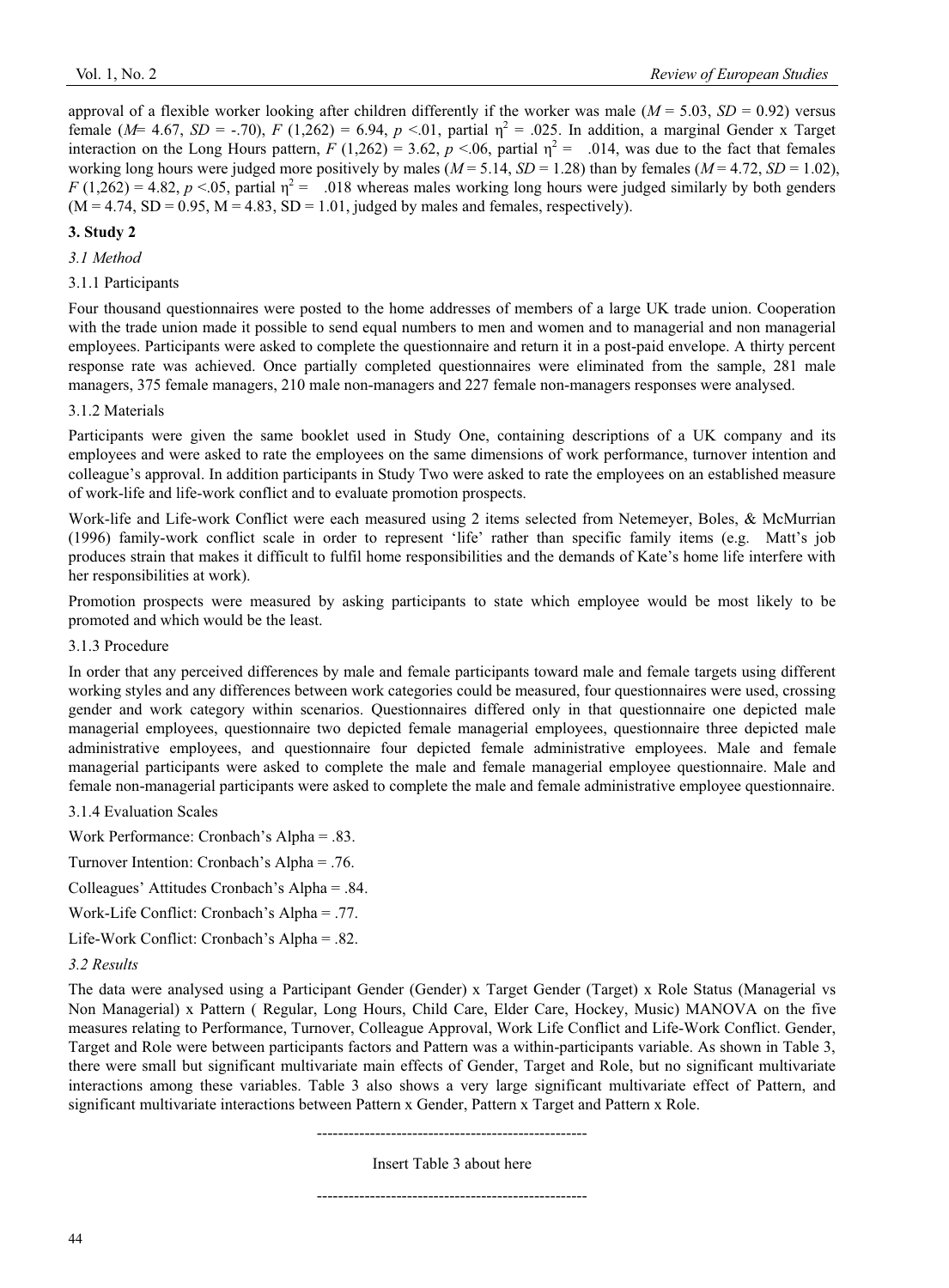approval of a flexible worker looking after children differently if the worker was male  $(M = 5.03, SD = 0.92)$  versus female ( $M= 4.67$ ,  $SD = -.70$ ),  $F(1,262) = 6.94$ ,  $p < .01$ , partial  $\eta^2 = .025$ . In addition, a marginal Gender x Target interaction on the Long Hours pattern,  $F(1,262) = 3.62$ ,  $p < 0.06$ , partial  $\eta^2 = 0.014$ , was due to the fact that females working long hours were judged more positively by males ( $M = 5.14$ ,  $SD = 1.28$ ) than by females ( $M = 4.72$ ,  $SD = 1.02$ ),  $F(1,262) = 4.82, p \lt 0.05$ , partial  $\eta^2 = 0.018$  whereas males working long hours were judged similarly by both genders  $(M = 4.74, SD = 0.95, M = 4.83, SD = 1.01$ , judged by males and females, respectively).

#### **3. Study 2**

*3.1 Method* 

#### 3.1.1 Participants

Four thousand questionnaires were posted to the home addresses of members of a large UK trade union. Cooperation with the trade union made it possible to send equal numbers to men and women and to managerial and non managerial employees. Participants were asked to complete the questionnaire and return it in a post-paid envelope. A thirty percent response rate was achieved. Once partially completed questionnaires were eliminated from the sample, 281 male managers, 375 female managers, 210 male non-managers and 227 female non-managers responses were analysed.

#### 3.1.2 Materials

Participants were given the same booklet used in Study One, containing descriptions of a UK company and its employees and were asked to rate the employees on the same dimensions of work performance, turnover intention and colleague's approval. In addition participants in Study Two were asked to rate the employees on an established measure of work-life and life-work conflict and to evaluate promotion prospects.

Work-life and Life-work Conflict were each measured using 2 items selected from Netemeyer, Boles, & McMurrian (1996) family-work conflict scale in order to represent 'life' rather than specific family items (e.g. Matt's job produces strain that makes it difficult to fulfil home responsibilities and the demands of Kate's home life interfere with her responsibilities at work).

Promotion prospects were measured by asking participants to state which employee would be most likely to be promoted and which would be the least.

#### 3.1.3 Procedure

In order that any perceived differences by male and female participants toward male and female targets using different working styles and any differences between work categories could be measured, four questionnaires were used, crossing gender and work category within scenarios. Questionnaires differed only in that questionnaire one depicted male managerial employees, questionnaire two depicted female managerial employees, questionnaire three depicted male administrative employees, and questionnaire four depicted female administrative employees. Male and female managerial participants were asked to complete the male and female managerial employee questionnaire. Male and female non-managerial participants were asked to complete the male and female administrative employee questionnaire.

3.1.4 Evaluation Scales

Work Performance: Cronbach's Alpha = .83.

Turnover Intention: Cronbach's Alpha = .76.

Colleagues' Attitudes Cronbach's Alpha = .84.

Work-Life Conflict: Cronbach's Alpha = .77.

Life-Work Conflict: Cronbach's Alpha = .82.

#### *3.2 Results*

The data were analysed using a Participant Gender (Gender) x Target Gender (Target) x Role Status (Managerial vs Non Managerial) x Pattern ( Regular, Long Hours, Child Care, Elder Care, Hockey, Music) MANOVA on the five measures relating to Performance, Turnover, Colleague Approval, Work Life Conflict and Life-Work Conflict. Gender, Target and Role were between participants factors and Pattern was a within-participants variable. As shown in Table 3, there were small but significant multivariate main effects of Gender, Target and Role, but no significant multivariate interactions among these variables. Table 3 also shows a very large significant multivariate effect of Pattern, and significant multivariate interactions between Pattern x Gender, Pattern x Target and Pattern x Role.

> --------------------------------------------------- Insert Table 3 about here

> ---------------------------------------------------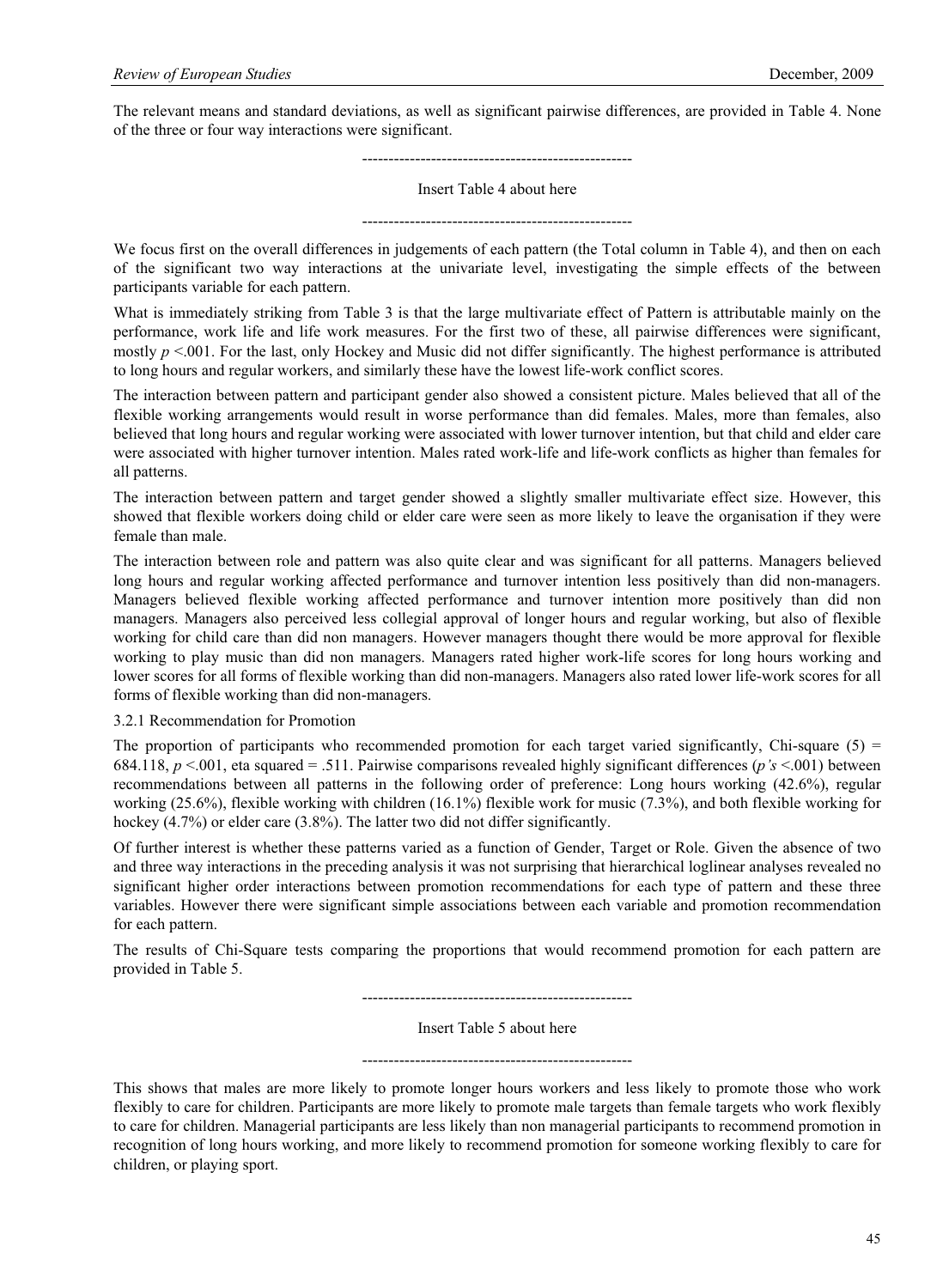The relevant means and standard deviations, as well as significant pairwise differences, are provided in Table 4. None of the three or four way interactions were significant.

> --------------------------------------------------- Insert Table 4 about here

> ---------------------------------------------------

We focus first on the overall differences in judgements of each pattern (the Total column in Table 4), and then on each of the significant two way interactions at the univariate level, investigating the simple effects of the between participants variable for each pattern.

What is immediately striking from Table 3 is that the large multivariate effect of Pattern is attributable mainly on the performance, work life and life work measures. For the first two of these, all pairwise differences were significant, mostly  $p \le 001$ . For the last, only Hockey and Music did not differ significantly. The highest performance is attributed to long hours and regular workers, and similarly these have the lowest life-work conflict scores.

The interaction between pattern and participant gender also showed a consistent picture. Males believed that all of the flexible working arrangements would result in worse performance than did females. Males, more than females, also believed that long hours and regular working were associated with lower turnover intention, but that child and elder care were associated with higher turnover intention. Males rated work-life and life-work conflicts as higher than females for all patterns.

The interaction between pattern and target gender showed a slightly smaller multivariate effect size. However, this showed that flexible workers doing child or elder care were seen as more likely to leave the organisation if they were female than male.

The interaction between role and pattern was also quite clear and was significant for all patterns. Managers believed long hours and regular working affected performance and turnover intention less positively than did non-managers. Managers believed flexible working affected performance and turnover intention more positively than did non managers. Managers also perceived less collegial approval of longer hours and regular working, but also of flexible working for child care than did non managers. However managers thought there would be more approval for flexible working to play music than did non managers. Managers rated higher work-life scores for long hours working and lower scores for all forms of flexible working than did non-managers. Managers also rated lower life-work scores for all forms of flexible working than did non-managers.

#### 3.2.1 Recommendation for Promotion

The proportion of participants who recommended promotion for each target varied significantly, Chi-square  $(5)$  = 684.118, *p* <.001, eta squared = .511. Pairwise comparisons revealed highly significant differences (*p's* <.001) between recommendations between all patterns in the following order of preference: Long hours working (42.6%), regular working (25.6%), flexible working with children (16.1%) flexible work for music (7.3%), and both flexible working for hockey (4.7%) or elder care (3.8%). The latter two did not differ significantly.

Of further interest is whether these patterns varied as a function of Gender, Target or Role. Given the absence of two and three way interactions in the preceding analysis it was not surprising that hierarchical loglinear analyses revealed no significant higher order interactions between promotion recommendations for each type of pattern and these three variables. However there were significant simple associations between each variable and promotion recommendation for each pattern.

The results of Chi-Square tests comparing the proportions that would recommend promotion for each pattern are provided in Table 5.

---------------------------------------------------

Insert Table 5 about here

---------------------------------------------------

This shows that males are more likely to promote longer hours workers and less likely to promote those who work flexibly to care for children. Participants are more likely to promote male targets than female targets who work flexibly to care for children. Managerial participants are less likely than non managerial participants to recommend promotion in recognition of long hours working, and more likely to recommend promotion for someone working flexibly to care for children, or playing sport.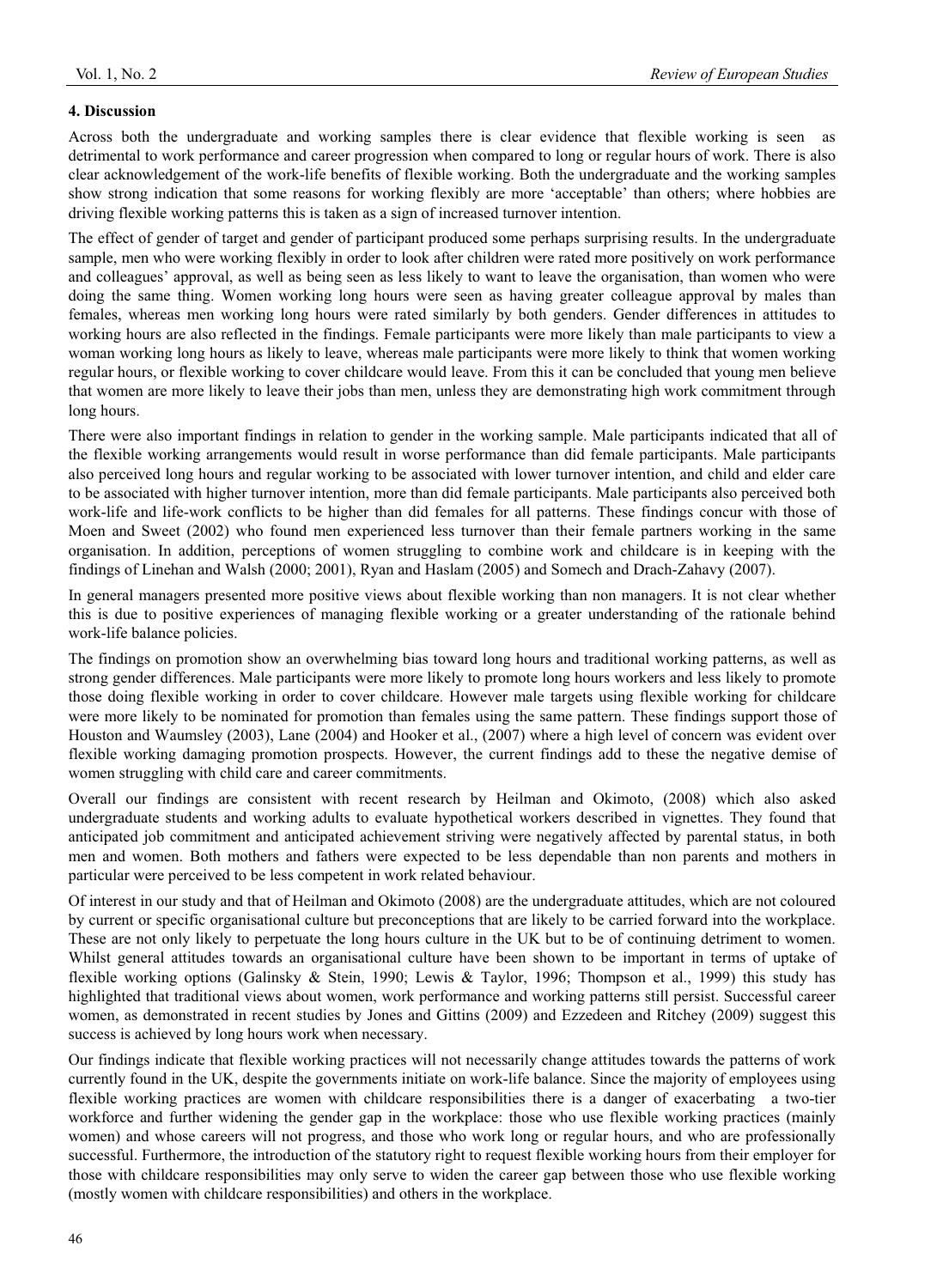#### **4. Discussion**

Across both the undergraduate and working samples there is clear evidence that flexible working is seen as detrimental to work performance and career progression when compared to long or regular hours of work. There is also clear acknowledgement of the work-life benefits of flexible working. Both the undergraduate and the working samples show strong indication that some reasons for working flexibly are more 'acceptable' than others; where hobbies are driving flexible working patterns this is taken as a sign of increased turnover intention.

The effect of gender of target and gender of participant produced some perhaps surprising results. In the undergraduate sample, men who were working flexibly in order to look after children were rated more positively on work performance and colleagues' approval, as well as being seen as less likely to want to leave the organisation, than women who were doing the same thing. Women working long hours were seen as having greater colleague approval by males than females, whereas men working long hours were rated similarly by both genders. Gender differences in attitudes to working hours are also reflected in the findings. Female participants were more likely than male participants to view a woman working long hours as likely to leave, whereas male participants were more likely to think that women working regular hours, or flexible working to cover childcare would leave. From this it can be concluded that young men believe that women are more likely to leave their jobs than men, unless they are demonstrating high work commitment through long hours.

There were also important findings in relation to gender in the working sample. Male participants indicated that all of the flexible working arrangements would result in worse performance than did female participants. Male participants also perceived long hours and regular working to be associated with lower turnover intention, and child and elder care to be associated with higher turnover intention, more than did female participants. Male participants also perceived both work-life and life-work conflicts to be higher than did females for all patterns. These findings concur with those of Moen and Sweet (2002) who found men experienced less turnover than their female partners working in the same organisation. In addition, perceptions of women struggling to combine work and childcare is in keeping with the findings of Linehan and Walsh (2000; 2001), Ryan and Haslam (2005) and Somech and Drach-Zahavy (2007).

In general managers presented more positive views about flexible working than non managers. It is not clear whether this is due to positive experiences of managing flexible working or a greater understanding of the rationale behind work-life balance policies.

The findings on promotion show an overwhelming bias toward long hours and traditional working patterns, as well as strong gender differences. Male participants were more likely to promote long hours workers and less likely to promote those doing flexible working in order to cover childcare. However male targets using flexible working for childcare were more likely to be nominated for promotion than females using the same pattern. These findings support those of Houston and Waumsley (2003), Lane (2004) and Hooker et al., (2007) where a high level of concern was evident over flexible working damaging promotion prospects. However, the current findings add to these the negative demise of women struggling with child care and career commitments.

Overall our findings are consistent with recent research by Heilman and Okimoto, (2008) which also asked undergraduate students and working adults to evaluate hypothetical workers described in vignettes. They found that anticipated job commitment and anticipated achievement striving were negatively affected by parental status, in both men and women. Both mothers and fathers were expected to be less dependable than non parents and mothers in particular were perceived to be less competent in work related behaviour.

Of interest in our study and that of Heilman and Okimoto (2008) are the undergraduate attitudes, which are not coloured by current or specific organisational culture but preconceptions that are likely to be carried forward into the workplace. These are not only likely to perpetuate the long hours culture in the UK but to be of continuing detriment to women. Whilst general attitudes towards an organisational culture have been shown to be important in terms of uptake of flexible working options (Galinsky & Stein, 1990; Lewis & Taylor, 1996; Thompson et al., 1999) this study has highlighted that traditional views about women, work performance and working patterns still persist. Successful career women, as demonstrated in recent studies by Jones and Gittins (2009) and Ezzedeen and Ritchey (2009) suggest this success is achieved by long hours work when necessary.

Our findings indicate that flexible working practices will not necessarily change attitudes towards the patterns of work currently found in the UK, despite the governments initiate on work-life balance. Since the majority of employees using flexible working practices are women with childcare responsibilities there is a danger of exacerbating a two-tier workforce and further widening the gender gap in the workplace: those who use flexible working practices (mainly women) and whose careers will not progress, and those who work long or regular hours, and who are professionally successful. Furthermore, the introduction of the statutory right to request flexible working hours from their employer for those with childcare responsibilities may only serve to widen the career gap between those who use flexible working (mostly women with childcare responsibilities) and others in the workplace.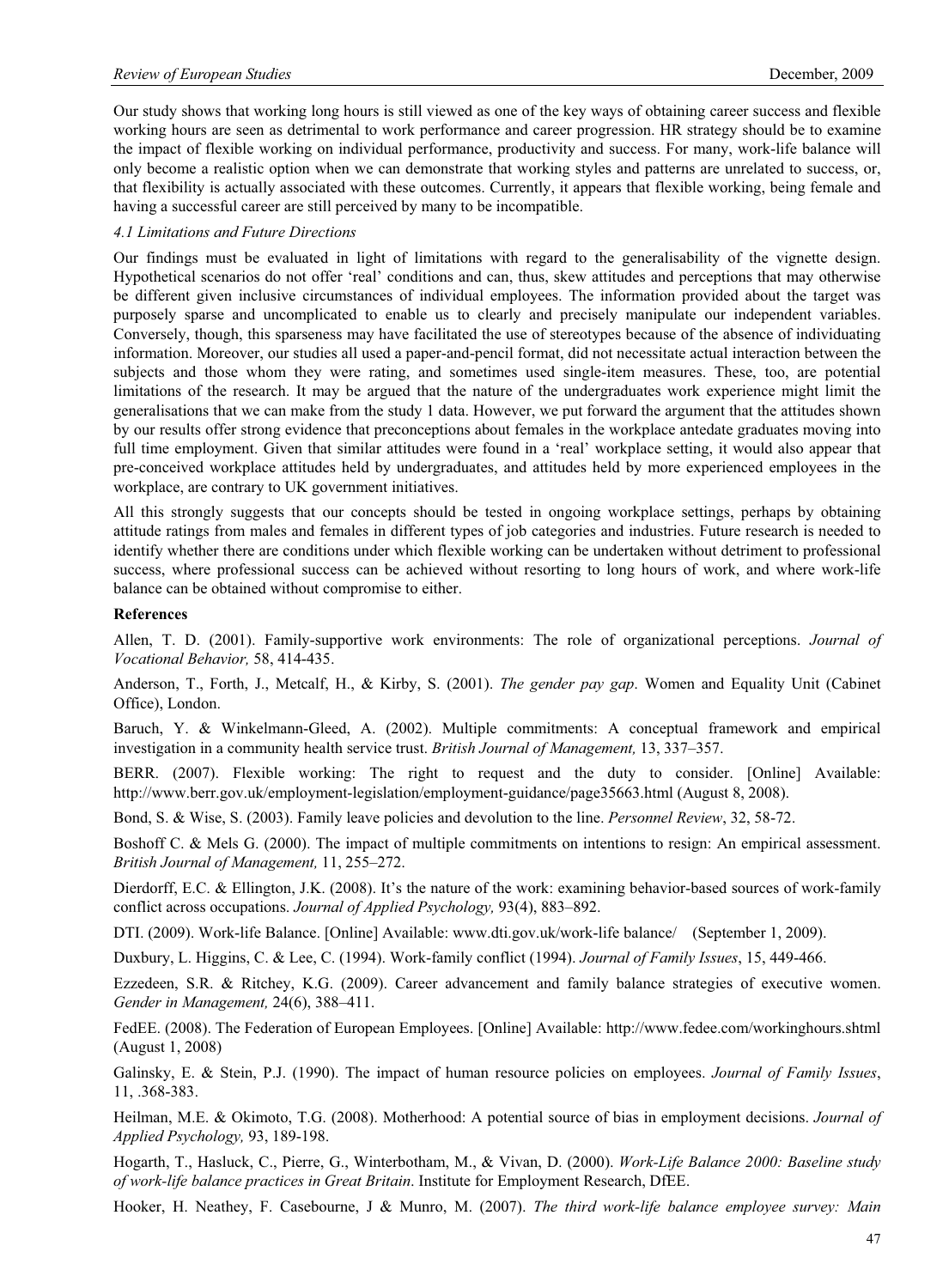Our study shows that working long hours is still viewed as one of the key ways of obtaining career success and flexible working hours are seen as detrimental to work performance and career progression. HR strategy should be to examine the impact of flexible working on individual performance, productivity and success. For many, work-life balance will only become a realistic option when we can demonstrate that working styles and patterns are unrelated to success, or, that flexibility is actually associated with these outcomes. Currently, it appears that flexible working, being female and having a successful career are still perceived by many to be incompatible.

#### *4.1 Limitations and Future Directions*

Our findings must be evaluated in light of limitations with regard to the generalisability of the vignette design. Hypothetical scenarios do not offer 'real' conditions and can, thus, skew attitudes and perceptions that may otherwise be different given inclusive circumstances of individual employees. The information provided about the target was purposely sparse and uncomplicated to enable us to clearly and precisely manipulate our independent variables. Conversely, though, this sparseness may have facilitated the use of stereotypes because of the absence of individuating information. Moreover, our studies all used a paper-and-pencil format, did not necessitate actual interaction between the subjects and those whom they were rating, and sometimes used single-item measures. These, too, are potential limitations of the research. It may be argued that the nature of the undergraduates work experience might limit the generalisations that we can make from the study 1 data. However, we put forward the argument that the attitudes shown by our results offer strong evidence that preconceptions about females in the workplace antedate graduates moving into full time employment. Given that similar attitudes were found in a 'real' workplace setting, it would also appear that pre-conceived workplace attitudes held by undergraduates, and attitudes held by more experienced employees in the workplace, are contrary to UK government initiatives.

All this strongly suggests that our concepts should be tested in ongoing workplace settings, perhaps by obtaining attitude ratings from males and females in different types of job categories and industries. Future research is needed to identify whether there are conditions under which flexible working can be undertaken without detriment to professional success, where professional success can be achieved without resorting to long hours of work, and where work-life balance can be obtained without compromise to either.

#### **References**

Allen, T. D. (2001). Family-supportive work environments: The role of organizational perceptions. *Journal of Vocational Behavior,* 58, 414-435.

Anderson, T., Forth, J., Metcalf, H., & Kirby, S. (2001). *The gender pay gap*. Women and Equality Unit (Cabinet Office), London.

Baruch, Y. & Winkelmann-Gleed, A. (2002). Multiple commitments: A conceptual framework and empirical investigation in a community health service trust. *British Journal of Management,* 13, 337–357.

BERR. (2007). Flexible working: The right to request and the duty to consider. [Online] Available: http://www.berr.gov.uk/employment-legislation/employment-guidance/page35663.html (August 8, 2008).

Bond, S. & Wise, S. (2003). Family leave policies and devolution to the line. *Personnel Review*, 32, 58-72.

Boshoff C. & Mels G. (2000). The impact of multiple commitments on intentions to resign: An empirical assessment. *British Journal of Management,* 11, 255–272.

Dierdorff, E.C. & Ellington, J.K. (2008). It's the nature of the work: examining behavior-based sources of work-family conflict across occupations. *Journal of Applied Psychology,* 93(4), 883–892.

DTI. (2009). Work-life Balance. [Online] Available: www.dti.gov.uk/work-life balance/ (September 1, 2009).

Duxbury, L. Higgins, C. & Lee, C. (1994). Work-family conflict (1994). *Journal of Family Issues*, 15, 449-466.

Ezzedeen, S.R. & Ritchey, K.G. (2009). Career advancement and family balance strategies of executive women. *Gender in Management,* 24(6), 388–411.

FedEE. (2008). The Federation of European Employees. [Online] Available: http://www.fedee.com/workinghours.shtml (August 1, 2008)

Galinsky, E. & Stein, P.J. (1990). The impact of human resource policies on employees. *Journal of Family Issues*, 11, .368-383.

Heilman, M.E. & Okimoto, T.G. (2008). Motherhood: A potential source of bias in employment decisions. *Journal of Applied Psychology,* 93, 189-198.

Hogarth, T., Hasluck, C., Pierre, G., Winterbotham, M., & Vivan, D. (2000). *Work-Life Balance 2000: Baseline study of work-life balance practices in Great Britain*. Institute for Employment Research, DfEE.

Hooker, H. Neathey, F. Casebourne, J & Munro, M. (2007). *The third work-life balance employee survey: Main*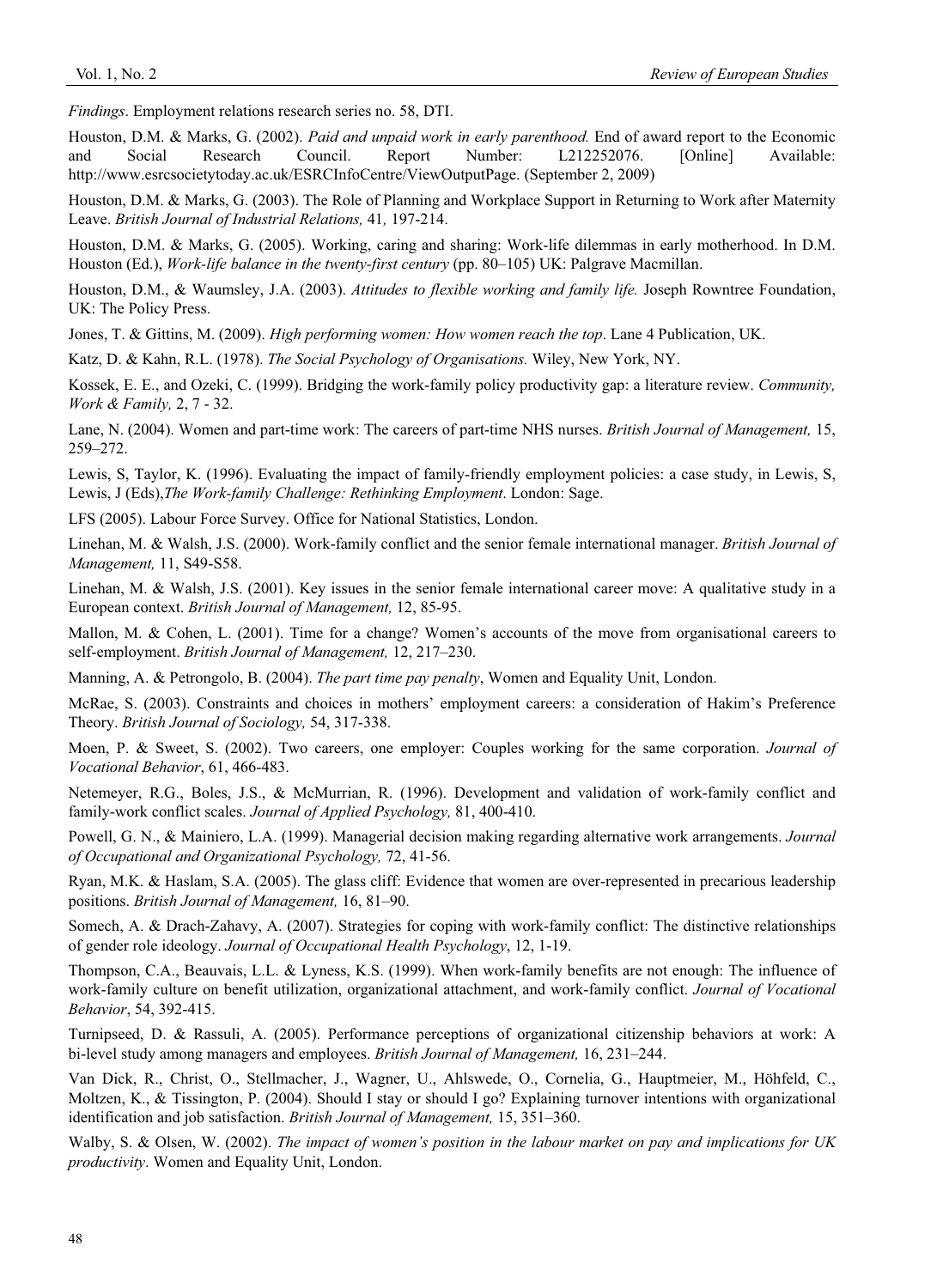*Findings*. Employment relations research series no. 58, DTI.

Houston, D.M. & Marks, G. (2002). *Paid and unpaid work in early parenthood.* End of award report to the Economic and Social Research Council. Report Number: L212252076. [Online] Available: http://www.esrcsocietytoday.ac.uk/ESRCInfoCentre/ViewOutputPage. (September 2, 2009)

Houston, D.M. & Marks, G. (2003). The Role of Planning and Workplace Support in Returning to Work after Maternity Leave. *British Journal of Industrial Relations,* 41*,* 197-214.

Houston, D.M. & Marks, G. (2005). Working, caring and sharing: Work-life dilemmas in early motherhood. In D.M. Houston (Ed.), *Work-life balance in the twenty-first century* (pp. 80–105) UK: Palgrave Macmillan.

Houston, D.M., & Waumsley, J.A. (2003). *Attitudes to flexible working and family life.* Joseph Rowntree Foundation, UK: The Policy Press.

Jones, T. & Gittins, M. (2009). *High performing women: How women reach the top*. Lane 4 Publication, UK.

Katz, D. & Kahn, R.L. (1978). *The Social Psychology of Organisations.* Wiley, New York, NY.

Kossek, E. E., and Ozeki, C. (1999). Bridging the work-family policy productivity gap: a literature review. *Community, Work & Family,* 2, 7 - 32.

Lane, N. (2004). Women and part-time work: The careers of part-time NHS nurses. *British Journal of Management,* 15, 259–272.

Lewis, S, Taylor, K. (1996). Evaluating the impact of family-friendly employment policies: a case study, in Lewis, S, Lewis, J (Eds),*The Work-family Challenge: Rethinking Employment*. London: Sage.

LFS (2005). Labour Force Survey. Office for National Statistics, London.

Linehan, M. & Walsh, J.S. (2000). Work-family conflict and the senior female international manager. *British Journal of Management,* 11, S49-S58.

Linehan, M. & Walsh, J.S. (2001). Key issues in the senior female international career move: A qualitative study in a European context. *British Journal of Management,* 12, 85-95.

Mallon, M. & Cohen, L. (2001). Time for a change? Women's accounts of the move from organisational careers to self-employment. *British Journal of Management,* 12, 217–230.

Manning, A. & Petrongolo, B. (2004). *The part time pay penalty*, Women and Equality Unit, London.

McRae, S. (2003). Constraints and choices in mothers' employment careers: a consideration of Hakim's Preference Theory. *British Journal of Sociology,* 54, 317-338.

Moen, P. & Sweet, S. (2002). Two careers, one employer: Couples working for the same corporation. *Journal of Vocational Behavior*, 61, 466-483.

Netemeyer, R.G., Boles, J.S., & McMurrian, R. (1996). Development and validation of work-family conflict and family-work conflict scales. *Journal of Applied Psychology,* 81, 400-410.

Powell, G. N., & Mainiero, L.A. (1999). Managerial decision making regarding alternative work arrangements. *Journal of Occupational and Organizational Psychology,* 72, 41-56.

Ryan, M.K. & Haslam, S.A. (2005). The glass cliff: Evidence that women are over-represented in precarious leadership positions. *British Journal of Management,* 16, 81–90.

Somech, A. & Drach-Zahavy, A. (2007). Strategies for coping with work-family conflict: The distinctive relationships of gender role ideology. *Journal of Occupational Health Psychology*, 12, 1-19.

Thompson, C.A., Beauvais, L.L. & Lyness, K.S. (1999). When work-family benefits are not enough: The influence of work-family culture on benefit utilization, organizational attachment, and work-family conflict. *Journal of Vocational Behavior*, 54, 392-415.

Turnipseed, D. & Rassuli, A. (2005). Performance perceptions of organizational citizenship behaviors at work: A bi-level study among managers and employees. *British Journal of Management,* 16, 231–244.

Van Dick, R., Christ, O., Stellmacher, J., Wagner, U., Ahlswede, O., Cornelia, G., Hauptmeier, M., Höhfeld, C., Moltzen, K., & Tissington, P. (2004). Should I stay or should I go? Explaining turnover intentions with organizational identification and job satisfaction. *British Journal of Management,* 15, 351–360.

Walby, S. & Olsen, W. (2002). *The impact of women's position in the labour market on pay and implications for UK productivity*. Women and Equality Unit, London.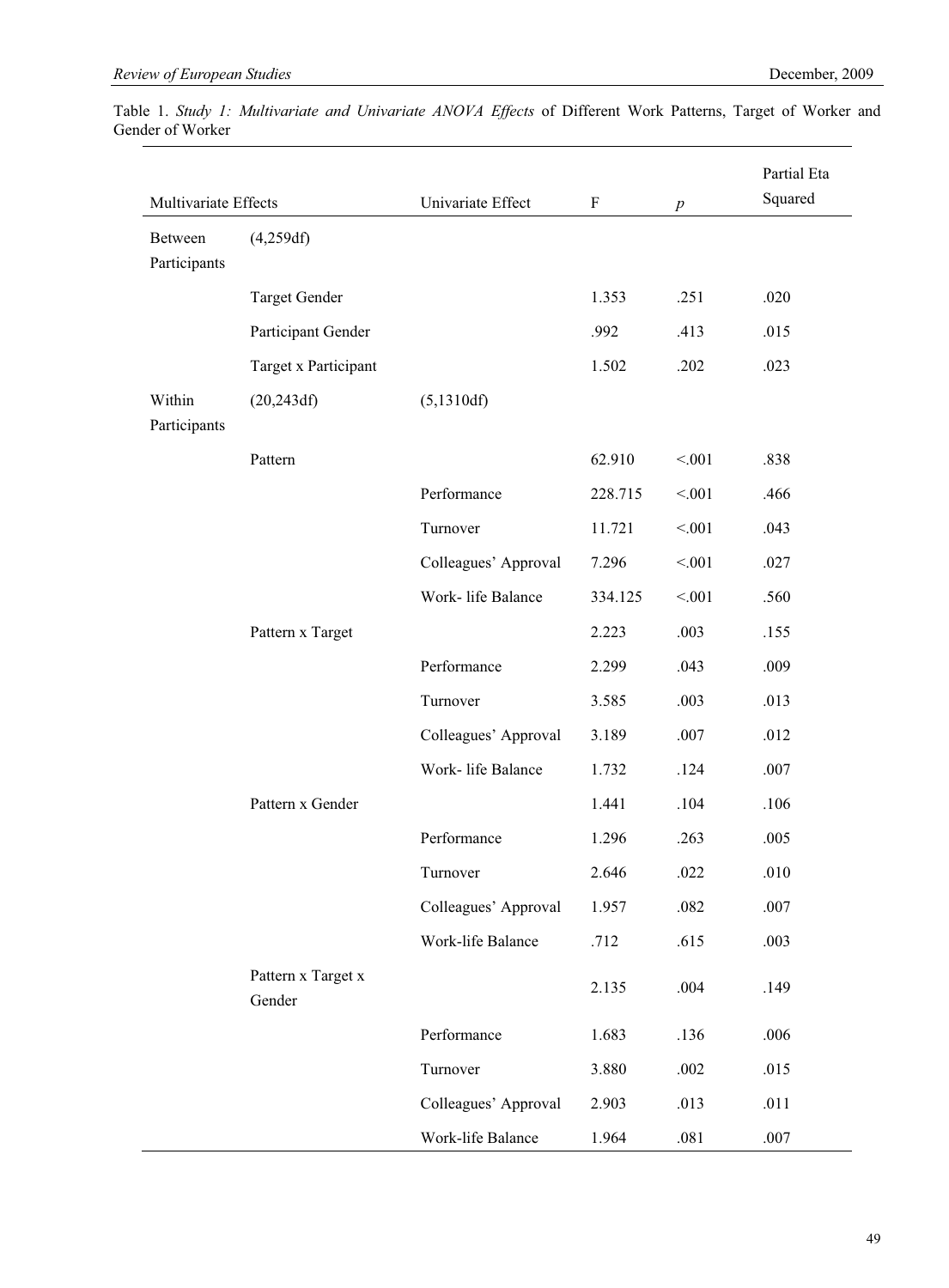| Multivariate Effects    |                              | Univariate Effect    | F       | $\boldsymbol{p}$ | Partial Eta<br>Squared |
|-------------------------|------------------------------|----------------------|---------|------------------|------------------------|
| Between<br>Participants | (4,259df)                    |                      |         |                  |                        |
|                         | <b>Target Gender</b>         |                      | 1.353   | .251             | .020                   |
|                         | Participant Gender           |                      | .992    | .413             | .015                   |
|                         | Target x Participant         |                      | 1.502   | .202             | .023                   |
| Within<br>Participants  | (20,243df)                   | (5,1310df)           |         |                  |                        |
|                         | Pattern                      |                      | 62.910  | < 0.01           | .838                   |
|                         |                              | Performance          | 228.715 | < 0.01           | .466                   |
|                         |                              | Turnover             | 11.721  | < 0.01           | .043                   |
|                         |                              | Colleagues' Approval | 7.296   | < 0.01           | .027                   |
|                         |                              | Work- life Balance   | 334.125 | < 0.01           | .560                   |
|                         | Pattern x Target             |                      | 2.223   | .003             | .155                   |
|                         |                              | Performance          | 2.299   | .043             | .009                   |
|                         |                              | Turnover             | 3.585   | .003             | .013                   |
|                         |                              | Colleagues' Approval | 3.189   | .007             | .012                   |
|                         |                              | Work- life Balance   | 1.732   | .124             | .007                   |
|                         | Pattern x Gender             |                      | 1.441   | .104             | .106                   |
|                         |                              | Performance          | 1.296   | .263             | .005                   |
|                         |                              | Turnover             | 2.646   | .022             | .010                   |
|                         |                              | Colleagues' Approval | 1.957   | .082             | .007                   |
|                         |                              | Work-life Balance    | .712    | .615             | .003                   |
|                         | Pattern x Target x<br>Gender |                      | 2.135   | .004             | .149                   |
|                         |                              | Performance          | 1.683   | .136             | .006                   |
|                         |                              | Turnover             | 3.880   | .002             | .015                   |
|                         |                              | Colleagues' Approval | 2.903   | .013             | .011                   |
|                         |                              | Work-life Balance    | 1.964   | .081             | $.007$                 |

Table 1. *Study 1: Multivariate and Univariate ANOVA Effects* of Different Work Patterns, Target of Worker and Gender of Worker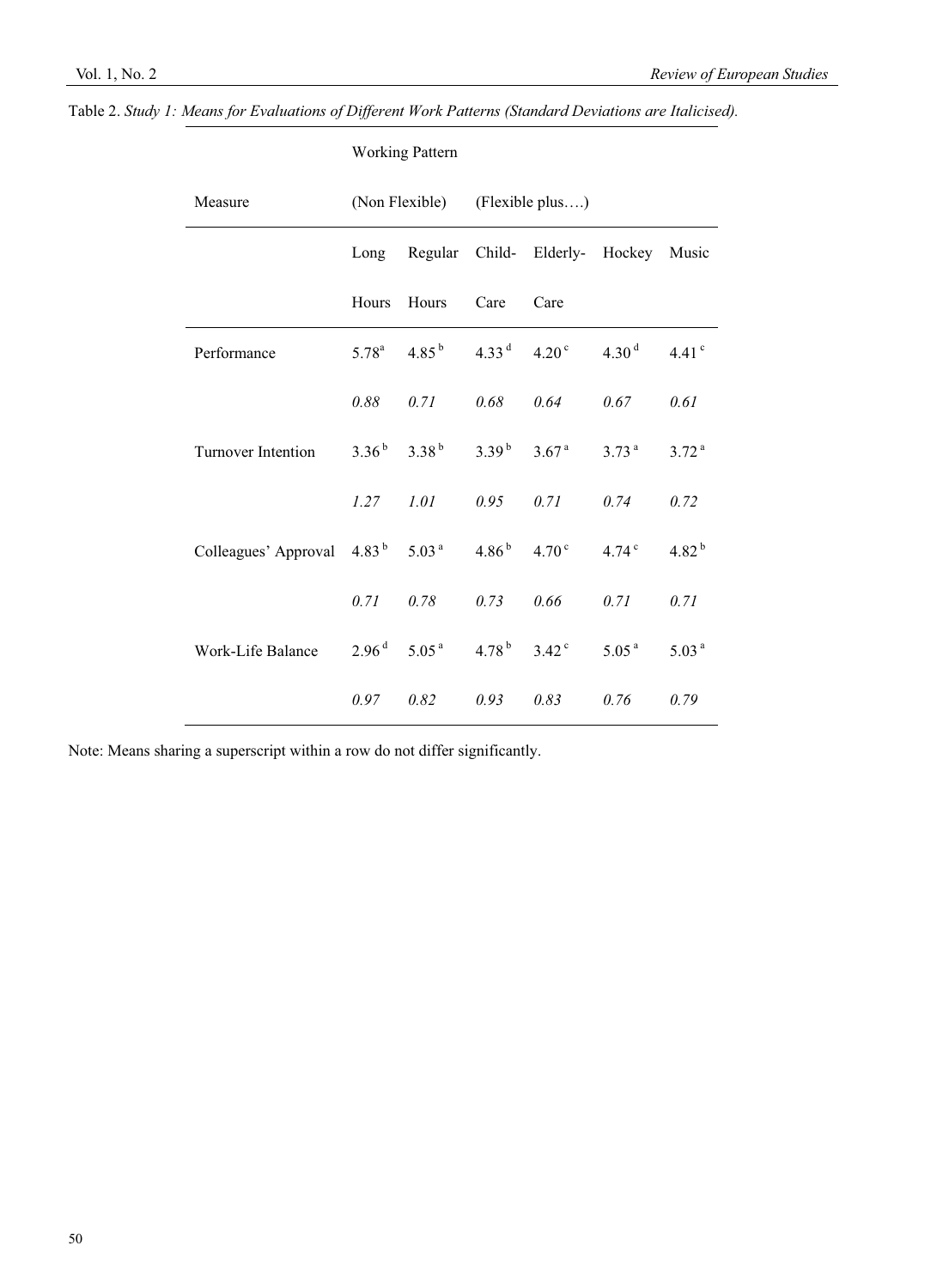| Measure              |                   | (Non Flexible)     |                 | (Flexible plus)                |                   |                   |
|----------------------|-------------------|--------------------|-----------------|--------------------------------|-------------------|-------------------|
|                      | Long              |                    |                 | Regular Child- Elderly- Hockey |                   | Music             |
|                      | Hours             | Hours              | Care            | Care                           |                   |                   |
| Performance          | $5.78^{a}$        | 4.85 $^{b}$        | 4.33 $^{\rm d}$ | 4.20 <sup>c</sup>              | 4.30 <sup>d</sup> | 4.41 $^{\circ}$   |
|                      | 0.88              | 0.71               | 0.68            | 0.64                           | 0.67              | 0.61              |
| Turnover Intention   | $3.36^{b}$        | 3.38 <sup>b</sup>  | $3.39^{b}$      | 3.67 <sup>a</sup>              | 3.73 <sup>a</sup> | 3.72 <sup>a</sup> |
|                      | 1.27              | 1.01               | 0.95            | 0.71                           | 0.74              | 0.72              |
| Colleagues' Approval | 4.83 $^{\rm b}$   | 5.03 <sup>a</sup>  | $4.86^{b}$      | $4.70^{\circ}$                 | $4.74^{\circ}$    | 4.82 $^{\rm b}$   |
|                      | 0.71              | 0.78               | 0.73            | 0.66                           | 0.71              | 0.71              |
| Work-Life Balance    | 2.96 <sup>d</sup> | $5.05^{\text{ a}}$ | 4.78 $^{b}$     | $3.42^{\circ}$                 | 5.05 <sup>a</sup> | 5.03 <sup>a</sup> |
|                      | 0.97              | 0.82               | 0.93            | 0.83                           | 0.76              | 0.79              |

|  | Table 2. Study 1: Means for Evaluations of Different Work Patterns (Standard Deviations are Italicised). |  |  |
|--|----------------------------------------------------------------------------------------------------------|--|--|
|  |                                                                                                          |  |  |

Working Pattern

Note: Means sharing a superscript within a row do not differ significantly.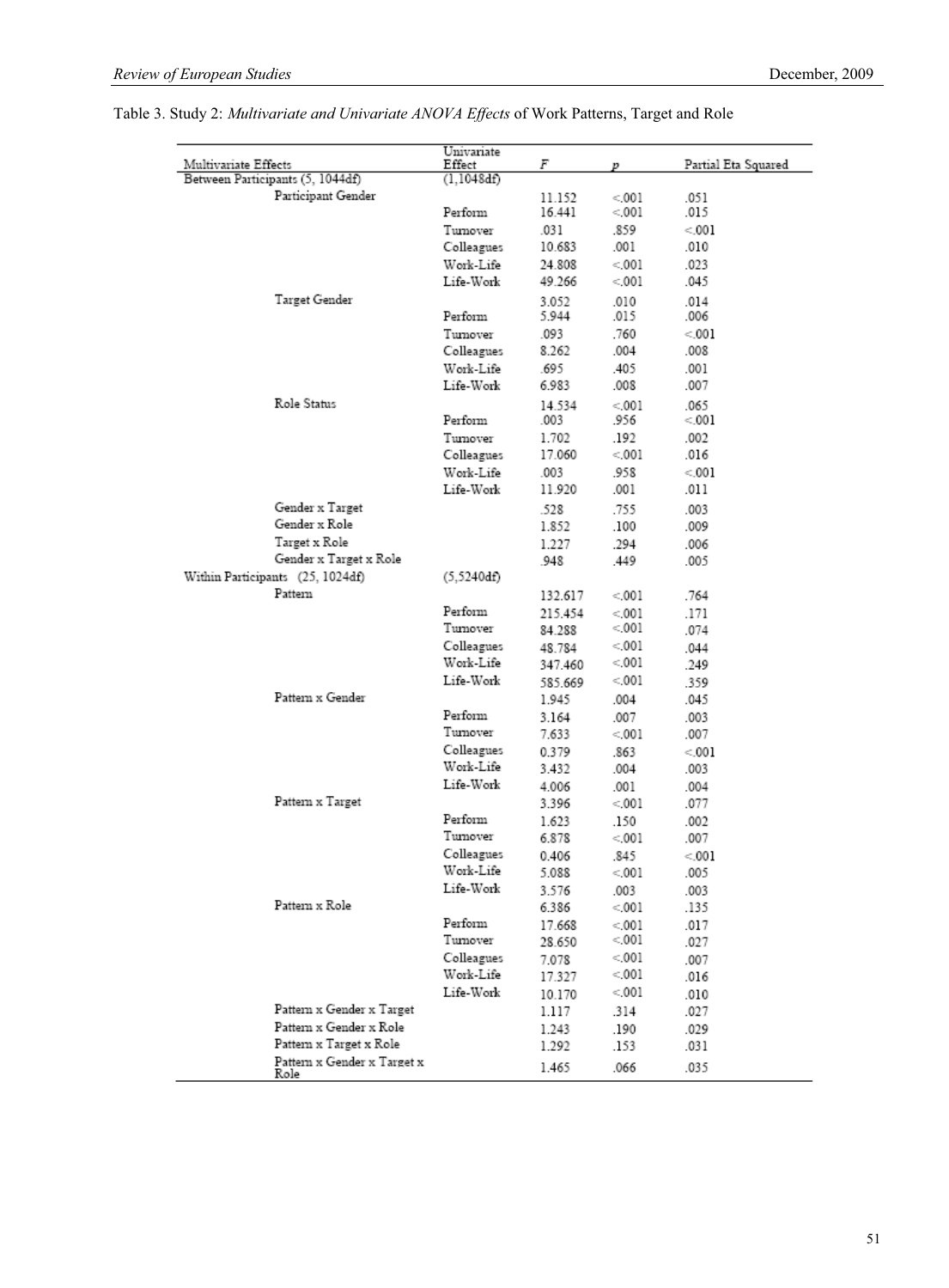| Multivariate Effects                        | Univariate<br>Effect | F       | p                     | Partial Eta Squared |
|---------------------------------------------|----------------------|---------|-----------------------|---------------------|
| Between Participants (5, 1044df)            | (1, 1048df)          |         |                       |                     |
| Participant Gender                          |                      | 11.152  | < 001                 | .051                |
|                                             | Perform              | 16.441  | < 001                 | .015                |
|                                             | Tumover              | .031    | .859                  | < 001               |
|                                             | Colleagues           | 10.683  | .001                  | .010                |
|                                             | Work-Life            | 24.808  | < 001                 | .023                |
|                                             | Life-Work            | 49.266  | < 001                 | .045                |
| Target Gender                               |                      | 3.052   | .010                  | .014                |
|                                             | Perform              | 5.944   | .015                  | .006                |
|                                             | Tumover              | .093    | .760                  | < 001               |
|                                             | Colleagues           | 8.262   | .004                  | .008                |
|                                             | Work-Life            | .695    | .405                  | .001                |
|                                             | Life-Work            | 6.983   | .008                  | .007                |
| Role Status                                 |                      | 14.534  | < 001                 | .065                |
|                                             | Perform              | .003    | .956                  | < 001               |
|                                             | Tumover              | 1.702   | .192                  | .002                |
|                                             | Colleagues           | 17.060  | ${}_{<.001}$          | .016                |
|                                             | Work-Life            | .003    | .958                  | < 001               |
|                                             | Life-Work            | 11.920  | .001                  | .011                |
| Gender x Target                             |                      | .528    | .755                  | .003                |
| Gender x Role                               |                      | 1.852   | .100                  | .009                |
| Target x Role                               |                      |         |                       |                     |
| Gender x Target x Role                      |                      | 1.227   | .294                  | .006                |
|                                             |                      | .948    | .449                  | .005                |
| Within Participants (25, 1024df)<br>Pattern | (5,5240df)           |         |                       |                     |
|                                             | Perform              | 132.617 | < 001                 | .764                |
|                                             | Tumover              | 215.454 | < 001<br>${}_{<.001}$ | .171                |
|                                             |                      | 84.288  |                       | .074                |
|                                             | Colleagues           | 48.784  | < 001                 | .044                |
|                                             | Work-Life            | 347.460 | ${}_{<.001}$          | .249                |
|                                             | Life-Work            | 585.669 | < 001                 | .359                |
| Pattern x Gender                            |                      | 1.945   | .004                  | .045                |
|                                             | Perform              | 3.164   | .007                  | .003                |
|                                             | Tumover              | 7.633   | < 001                 | .007                |
|                                             | Colleagues           | 0.379   | .863                  | < 001               |
|                                             | Work-Life            | 3.432   | .004                  | .003                |
|                                             | Life-Work            | 4.006   | .001                  | .004                |
| Pattern x Target                            |                      | 3.396   | < 001                 | .077                |
|                                             | Perform              | 1.623   | .150                  | .002                |
|                                             | Tumover              | 6.878   | < 001                 | .007                |
|                                             | Colleagues           | 0.406   | .845                  | < 001               |
|                                             | Work-Life            | 5.088   | < 001                 | .005                |
|                                             | Life-Work            | 3.576   | .003                  | .003                |
| Pattern x Role                              |                      | 6.386   | < 001                 | .135                |
|                                             | Perform              | 17.668  | < 001                 | .017                |
|                                             | Tumover              | 28.650  | < 001                 | .027                |
|                                             | Colleagues           | 7.078   | < 001                 | .007                |
|                                             | Work-Life            | 17.327  | < 001                 | .016                |
|                                             | Life-Work            | 10.170  | < 001                 | .010                |
| Pattern x Gender x Target                   |                      | 1.117   | .314                  | .027                |
| Pattern x Gender x Role                     |                      | 1.243   | .190                  | .029                |
| Pattern x Target x Role                     |                      | 1.292   | .153                  | .031                |
| Pattern x Gender x Target x                 |                      |         |                       |                     |
| Role                                        |                      | 1.465   | .066                  | .035                |

#### Table 3. Study 2: *Multivariate and Univariate ANOVA Effects* of Work Patterns, Target and Role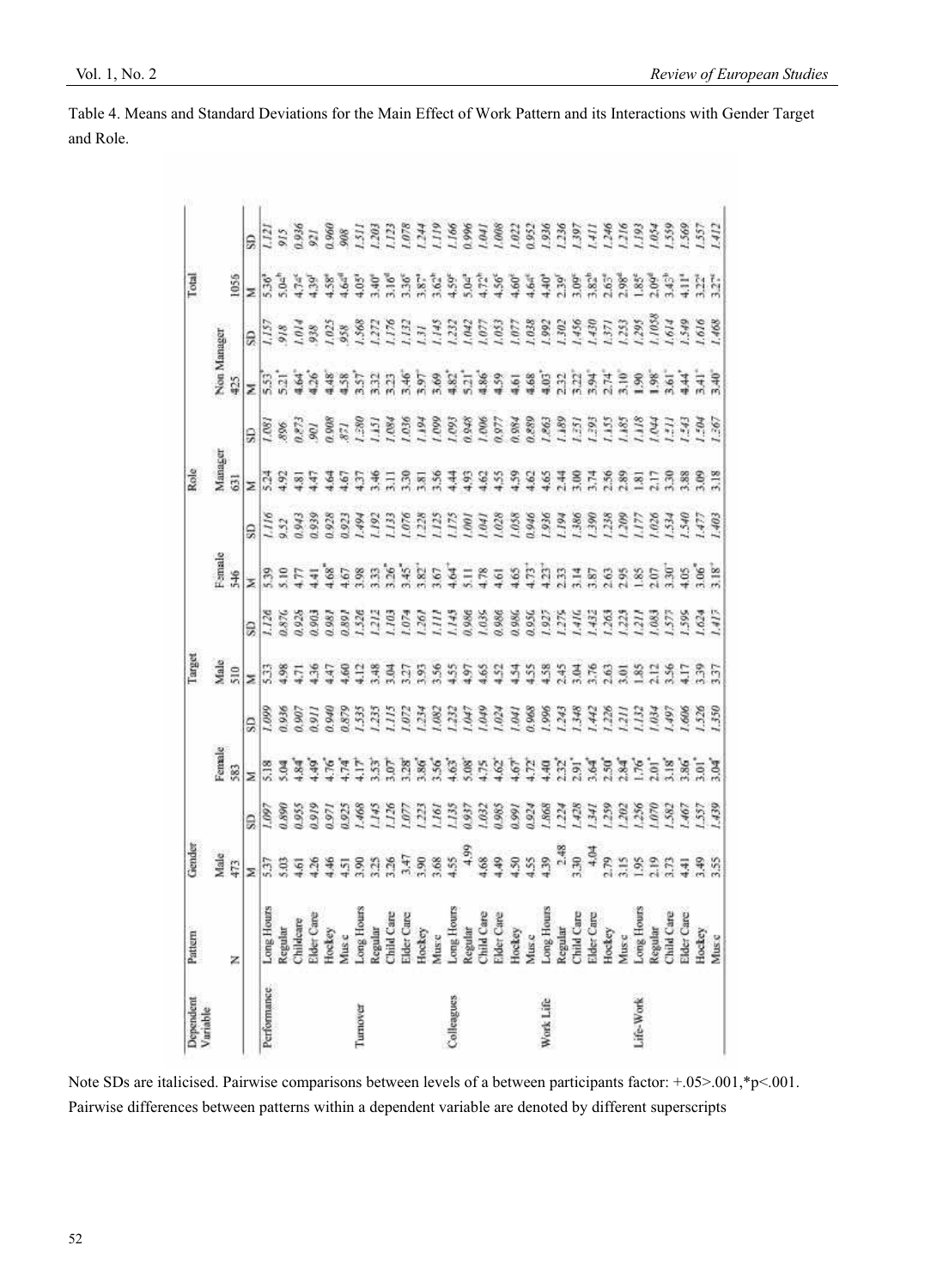| Dependent<br>Variable | Pattern           | Gender                            |                                                                   |               |                                  | Target                                  |                             |     |                               | Role                |                                                                                                                |               |                                                                                                                                                                                                                                                                                                  | Total                                             |                               |
|-----------------------|-------------------|-----------------------------------|-------------------------------------------------------------------|---------------|----------------------------------|-----------------------------------------|-----------------------------|-----|-------------------------------|---------------------|----------------------------------------------------------------------------------------------------------------|---------------|--------------------------------------------------------------------------------------------------------------------------------------------------------------------------------------------------------------------------------------------------------------------------------------------------|---------------------------------------------------|-------------------------------|
|                       |                   | Vlale                             |                                                                   | Female<br>583 |                                  | Male<br>510                             |                             | 346 |                               | Manager<br>631      |                                                                                                                | Non Manager   |                                                                                                                                                                                                                                                                                                  |                                                   |                               |
|                       | z                 | E                                 |                                                                   |               |                                  |                                         |                             |     |                               |                     |                                                                                                                | 425           |                                                                                                                                                                                                                                                                                                  | 1055                                              |                               |
|                       |                   |                                   | $\Omega$                                                          |               | GS <sub>1</sub>                  |                                         | $\overline{\mathbf{S}}$     |     | $\overline{a}$                |                     | GB                                                                                                             | ż             | $\overline{a}$                                                                                                                                                                                                                                                                                   | $\overline{z}$                                    | Ģ,                            |
| Performance           | Long Hours        |                                   | 39                                                                |               | 60.                              | 5                                       | $\mathbb{R}$                |     | $\frac{1}{2}$                 | 524                 | $\overline{\mathfrak{g}}$                                                                                      | 5.53          |                                                                                                                                                                                                                                                                                                  | <u>ה המשמטות הפורדים של המשמעות הפורדים של המ</u> | $\frac{12}{2}$                |
|                       | Regular           |                                   |                                                                   |               |                                  | õ,                                      | 1.87                        |     |                               | $\frac{5}{2}$       |                                                                                                                |               | 816                                                                                                                                                                                                                                                                                              |                                                   | ors                           |
|                       | Childcare         | ত্ত্                              |                                                                   | æ,            |                                  |                                         |                             |     |                               | $\overline{\infty}$ |                                                                                                                |               |                                                                                                                                                                                                                                                                                                  |                                                   |                               |
|                       | Elder Care        | 26                                |                                                                   |               |                                  | $\frac{1}{\sqrt{2}}$                    |                             | ₹   |                               | £                   |                                                                                                                |               |                                                                                                                                                                                                                                                                                                  |                                                   |                               |
|                       | Hockey            | 46                                |                                                                   |               |                                  | 47                                      |                             |     |                               |                     |                                                                                                                |               |                                                                                                                                                                                                                                                                                                  |                                                   |                               |
|                       | Mus c             | $\overline{5}$                    |                                                                   |               |                                  | Ă                                       |                             |     |                               | 3.55                |                                                                                                                |               |                                                                                                                                                                                                                                                                                                  |                                                   |                               |
| Turnover              | Long Hours        |                                   |                                                                   |               |                                  | Ξ                                       |                             |     |                               |                     |                                                                                                                |               |                                                                                                                                                                                                                                                                                                  |                                                   |                               |
|                       | Regular           |                                   |                                                                   |               |                                  | Ĩ                                       |                             |     |                               | Ĭ                   |                                                                                                                |               |                                                                                                                                                                                                                                                                                                  |                                                   |                               |
|                       | Child Care        |                                   |                                                                   |               |                                  | ğ.                                      |                             |     |                               | Ξ                   |                                                                                                                |               |                                                                                                                                                                                                                                                                                                  |                                                   |                               |
|                       | Elder Care        |                                   |                                                                   |               |                                  | Ξī                                      |                             |     |                               |                     |                                                                                                                |               |                                                                                                                                                                                                                                                                                                  |                                                   |                               |
|                       | Hockey            |                                   |                                                                   |               |                                  |                                         |                             |     |                               |                     |                                                                                                                |               |                                                                                                                                                                                                                                                                                                  |                                                   |                               |
|                       | Mus:c             |                                   |                                                                   |               |                                  |                                         |                             |     |                               |                     |                                                                                                                |               |                                                                                                                                                                                                                                                                                                  |                                                   |                               |
| Colleagues            | <b>Long Hours</b> |                                   |                                                                   |               |                                  |                                         |                             |     |                               |                     |                                                                                                                |               |                                                                                                                                                                                                                                                                                                  |                                                   |                               |
|                       | Regular           |                                   |                                                                   |               |                                  |                                         |                             |     |                               |                     |                                                                                                                |               |                                                                                                                                                                                                                                                                                                  |                                                   |                               |
|                       | Child Care        |                                   |                                                                   |               |                                  |                                         |                             |     |                               |                     |                                                                                                                |               |                                                                                                                                                                                                                                                                                                  |                                                   |                               |
|                       | Elder Care        | $\frac{83335335}{83333333333335}$ | 5 3 3 5 3 5 5 5 5 6 6 7 5 5 6 7 8 9 8 9 8 9 8 7 6 7 5 6 7 8 9 9 9 |               | 88588899988898888888888989989888 | 5 5 5 5 5 9 9 9 9 9 9 9 5 6 9 5 9 9 9 9 | 888883388382388888838348888 |     | 33333333365353333333335535555 | 35345333            | LA RECEPTED DE LA RECEPTED DE LA RECEPTED DE LA RECEPTED DE LA RECEPTED DE LA RECEPTED DE LA RECEPTED DE LA RE |               | $\frac{3}{28}$ , $\frac{3}{28}$ , $\frac{3}{28}$ , $\frac{3}{28}$ , $\frac{3}{28}$ , $\frac{3}{28}$ , $\frac{3}{28}$ , $\frac{3}{28}$ , $\frac{3}{28}$ , $\frac{3}{28}$ , $\frac{3}{28}$ , $\frac{3}{28}$ , $\frac{3}{28}$ , $\frac{3}{28}$ , $\frac{3}{28}$ , $\frac{3}{28}$ , $\frac{3}{28}$ , |                                                   | 85885556878878998555555555555 |
|                       | Hockey            |                                   |                                                                   |               |                                  |                                         |                             |     |                               |                     |                                                                                                                |               |                                                                                                                                                                                                                                                                                                  |                                                   |                               |
|                       | Mus.c             |                                   |                                                                   |               |                                  |                                         |                             |     |                               |                     |                                                                                                                |               |                                                                                                                                                                                                                                                                                                  |                                                   |                               |
| Work Life             | Long Hours        |                                   |                                                                   |               |                                  |                                         |                             |     |                               | 45487788            |                                                                                                                |               |                                                                                                                                                                                                                                                                                                  |                                                   |                               |
|                       | Regular           |                                   |                                                                   |               |                                  |                                         |                             |     |                               |                     |                                                                                                                |               |                                                                                                                                                                                                                                                                                                  |                                                   |                               |
|                       | Child Care        |                                   |                                                                   |               |                                  |                                         |                             |     |                               |                     |                                                                                                                |               |                                                                                                                                                                                                                                                                                                  |                                                   |                               |
|                       | Elder Care        |                                   |                                                                   |               |                                  |                                         |                             |     |                               |                     |                                                                                                                |               |                                                                                                                                                                                                                                                                                                  |                                                   |                               |
|                       | Hockey            |                                   |                                                                   |               |                                  |                                         |                             |     |                               |                     |                                                                                                                |               |                                                                                                                                                                                                                                                                                                  |                                                   |                               |
|                       | <b>Musce</b>      | $\mathbb{S}$                      |                                                                   |               |                                  |                                         |                             |     |                               |                     |                                                                                                                |               |                                                                                                                                                                                                                                                                                                  |                                                   |                               |
| Life-Work             | Long Hours        | 95                                |                                                                   |               |                                  |                                         |                             |     |                               | s.                  |                                                                                                                |               |                                                                                                                                                                                                                                                                                                  |                                                   |                               |
|                       | Regular           | Ą                                 |                                                                   |               |                                  |                                         |                             |     |                               | Ξ                   |                                                                                                                |               |                                                                                                                                                                                                                                                                                                  |                                                   |                               |
|                       | Child Care        |                                   |                                                                   |               |                                  |                                         |                             |     |                               | $\frac{30}{2}$      |                                                                                                                |               |                                                                                                                                                                                                                                                                                                  |                                                   |                               |
|                       | Elder Care        | 同                                 |                                                                   |               |                                  | Ξ                                       |                             |     |                               | 38                  |                                                                                                                | $\frac{4}{3}$ |                                                                                                                                                                                                                                                                                                  |                                                   |                               |
|                       | Hockey            |                                   | 557                                                               | 58            |                                  | 37                                      | 624                         | 96  |                               | SO.                 |                                                                                                                | $-48$         |                                                                                                                                                                                                                                                                                                  | 참결                                                |                               |
|                       | Mus c             |                                   |                                                                   |               |                                  |                                         |                             |     |                               | $\frac{8}{18}$      |                                                                                                                |               |                                                                                                                                                                                                                                                                                                  |                                                   |                               |

Table 4. Means and Standard Deviations for the Main Effect of Work Pattern and its Interactions with Gender Target and Role.

Note SDs are italicised. Pairwise comparisons between levels of a between participants factor: +.05>.001,\*p<.001. Pairwise differences between patterns within a dependent variable are denoted by different superscripts